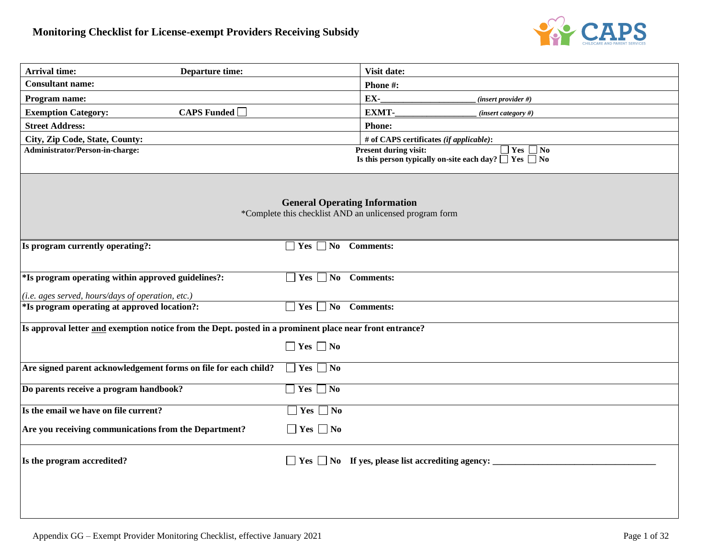

| <b>Arrival time:</b><br><b>Departure time:</b>                                                          |                                      | Visit date:                                                                                                             |
|---------------------------------------------------------------------------------------------------------|--------------------------------------|-------------------------------------------------------------------------------------------------------------------------|
| <b>Consultant name:</b>                                                                                 |                                      | Phone #:                                                                                                                |
| Program name:                                                                                           |                                      | EX-<br>(insert provider #)                                                                                              |
| <b>CAPS</b> Funded $\Box$<br><b>Exemption Category:</b>                                                 |                                      | <b>EXMT-</b><br>(insert category #)                                                                                     |
| <b>Street Address:</b>                                                                                  |                                      | <b>Phone:</b>                                                                                                           |
| City, Zip Code, State, County:                                                                          |                                      | # of CAPS certificates (if applicable):                                                                                 |
| Administrator/Person-in-charge:                                                                         |                                      | $\Box$ Yes $\Box$ No<br><b>Present during visit:</b><br>Is this person typically on-site each day? $\Box$ Yes $\Box$ No |
|                                                                                                         | <b>General Operating Information</b> | *Complete this checklist AND an unlicensed program form                                                                 |
| Is program currently operating?:                                                                        | <b>Yes</b><br>N <sub>0</sub>         | <b>Comments:</b>                                                                                                        |
| *Is program operating within approved guidelines?:                                                      | $Yes \tNo \tComments:$               |                                                                                                                         |
| (i.e. ages served, hours/days of operation, etc.)                                                       |                                      |                                                                                                                         |
| *Is program operating at approved location?:                                                            | $Yes \tNo \tComments:$               |                                                                                                                         |
| Is approval letter and exemption notice from the Dept. posted in a prominent place near front entrance? |                                      |                                                                                                                         |
|                                                                                                         | $\Box$ Yes $\Box$ No                 |                                                                                                                         |
| Are signed parent acknowledgement forms on file for each child?                                         | Yes<br>$\Box$ No                     |                                                                                                                         |
| Do parents receive a program handbook?                                                                  | $\vert$ Yes<br>$\exists$ No          |                                                                                                                         |
| Is the email we have on file current?                                                                   | $\Box$ Yes $\Box$ No                 |                                                                                                                         |
| Are you receiving communications from the Department?                                                   | $\Box$ Yes $\Box$ No                 |                                                                                                                         |
| Is the program accredited?                                                                              |                                      | $\Box$ Yes $\Box$ No If yes, please list accrediting agency:                                                            |
|                                                                                                         |                                      |                                                                                                                         |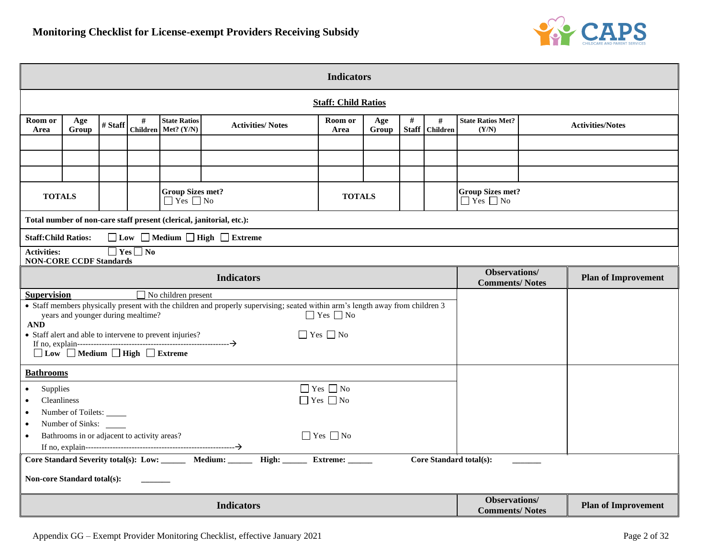

| <b>Indicators</b>                                                                                                                                                                                                                                                                                                                                                                                         |                                                                                                                                                                                       |  |                      |  |                                                                      |  |                                                 |                                   |  |                                                |  |                            |
|-----------------------------------------------------------------------------------------------------------------------------------------------------------------------------------------------------------------------------------------------------------------------------------------------------------------------------------------------------------------------------------------------------------|---------------------------------------------------------------------------------------------------------------------------------------------------------------------------------------|--|----------------------|--|----------------------------------------------------------------------|--|-------------------------------------------------|-----------------------------------|--|------------------------------------------------|--|----------------------------|
|                                                                                                                                                                                                                                                                                                                                                                                                           | <b>Staff: Child Ratios</b>                                                                                                                                                            |  |                      |  |                                                                      |  |                                                 |                                   |  |                                                |  |                            |
| Room or<br>Area                                                                                                                                                                                                                                                                                                                                                                                           | Room or<br>#<br>#<br>Age<br><b>State Ratios</b><br>Age<br>#<br># Staff<br><b>Activities/Notes</b><br>Children Met? (Y/N)<br><b>Staff</b><br><b>Children</b><br>Group<br>Area<br>Group |  |                      |  |                                                                      |  |                                                 | <b>State Ratios Met?</b><br>(Y/N) |  | <b>Activities/Notes</b>                        |  |                            |
|                                                                                                                                                                                                                                                                                                                                                                                                           |                                                                                                                                                                                       |  |                      |  |                                                                      |  |                                                 |                                   |  |                                                |  |                            |
|                                                                                                                                                                                                                                                                                                                                                                                                           |                                                                                                                                                                                       |  |                      |  |                                                                      |  |                                                 |                                   |  |                                                |  |                            |
| <b>Group Sizes met?</b><br><b>TOTALS</b><br><b>TOTALS</b><br>$\Box$ Yes $\Box$ No                                                                                                                                                                                                                                                                                                                         |                                                                                                                                                                                       |  |                      |  |                                                                      |  | <b>Group Sizes met?</b><br>$\Box$ Yes $\Box$ No |                                   |  |                                                |  |                            |
|                                                                                                                                                                                                                                                                                                                                                                                                           |                                                                                                                                                                                       |  |                      |  | Total number of non-care staff present (clerical, janitorial, etc.): |  |                                                 |                                   |  |                                                |  |                            |
| <b>Staff:Child Ratios:</b>                                                                                                                                                                                                                                                                                                                                                                                |                                                                                                                                                                                       |  |                      |  | □ Low □ Medium □ High □ Extreme                                      |  |                                                 |                                   |  |                                                |  |                            |
| <b>Activities:</b><br><b>NON-CORE CCDF Standards</b>                                                                                                                                                                                                                                                                                                                                                      |                                                                                                                                                                                       |  | $\Box$ Yes $\Box$ No |  |                                                                      |  |                                                 |                                   |  |                                                |  |                            |
| <b>Observations</b> /<br><b>Indicators</b><br><b>Plan of Improvement</b><br><b>Comments/Notes</b>                                                                                                                                                                                                                                                                                                         |                                                                                                                                                                                       |  |                      |  |                                                                      |  |                                                 |                                   |  |                                                |  |                            |
| $\Box$ No children present<br><b>Supervision</b><br>• Staff members physically present with the children and properly supervising; seated within arm's length away from children 3<br>$\Box$ Yes $\Box$ No<br>years and younger during mealtime?<br>$\bf{AND}$<br>$\Box$ Yes $\Box$ No<br>• Staff alert and able to intervene to prevent injuries?<br>$\Box$ Low $\Box$ Medium $\Box$ High $\Box$ Extreme |                                                                                                                                                                                       |  |                      |  |                                                                      |  |                                                 |                                   |  |                                                |  |                            |
| <b>Bathrooms</b>                                                                                                                                                                                                                                                                                                                                                                                          |                                                                                                                                                                                       |  |                      |  |                                                                      |  |                                                 |                                   |  |                                                |  |                            |
| $\hfill\Box$<br>Yes $\hfill\Box$<br>No<br>Supplies<br>$\bullet$<br>$\Box$ Yes $\Box$ No<br><b>Cleanliness</b><br>$\bullet$<br>Number of Toilets:<br>$\bullet$                                                                                                                                                                                                                                             |                                                                                                                                                                                       |  |                      |  |                                                                      |  |                                                 |                                   |  |                                                |  |                            |
| $\bullet$                                                                                                                                                                                                                                                                                                                                                                                                 | Number of Sinks:<br>$\bullet$<br>$\Box$ Yes $\Box$ No<br>Bathrooms in or adjacent to activity areas?                                                                                  |  |                      |  |                                                                      |  |                                                 |                                   |  |                                                |  |                            |
| Core Standard Severity total(s): Low: ________ Medium: _______ High: ______ Extreme: ______<br>Core Standard total(s):<br><b>Non-core Standard total(s):</b>                                                                                                                                                                                                                                              |                                                                                                                                                                                       |  |                      |  |                                                                      |  |                                                 |                                   |  |                                                |  |                            |
|                                                                                                                                                                                                                                                                                                                                                                                                           |                                                                                                                                                                                       |  |                      |  | <b>Indicators</b>                                                    |  |                                                 |                                   |  | <b>Observations</b> /<br><b>Comments/Notes</b> |  | <b>Plan of Improvement</b> |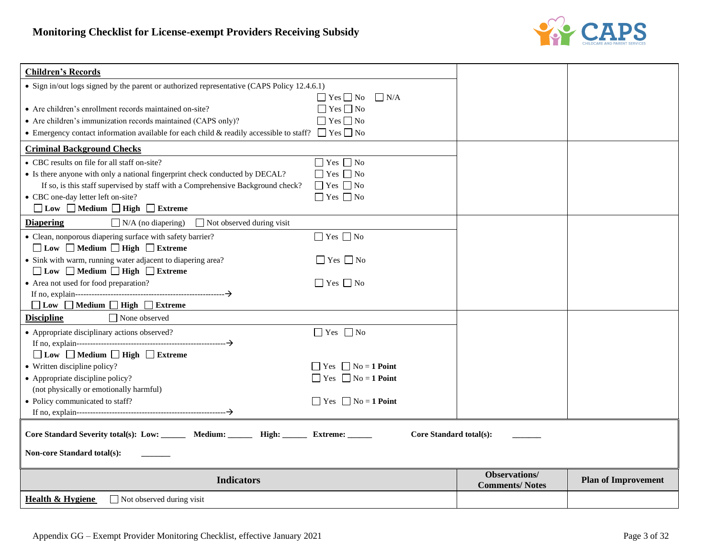

| <b>Children's Records</b>                                                                                    |                                                        |                                               |                            |
|--------------------------------------------------------------------------------------------------------------|--------------------------------------------------------|-----------------------------------------------|----------------------------|
| • Sign in/out logs signed by the parent or authorized representative (CAPS Policy 12.4.6.1)                  |                                                        |                                               |                            |
|                                                                                                              | $\Box$ Yes $\Box$ No<br>N/A                            |                                               |                            |
| • Are children's enrollment records maintained on-site?                                                      | $\Box$ Yes $\Box$ No                                   |                                               |                            |
| • Are children's immunization records maintained (CAPS only)?                                                | $\Box$ Yes $\Box$ No                                   |                                               |                            |
| • Emergency contact information available for each child & readily accessible to staff? $\Box$ Yes $\Box$ No |                                                        |                                               |                            |
| <b>Criminal Background Checks</b>                                                                            |                                                        |                                               |                            |
| • CBC results on file for all staff on-site?                                                                 | $\hfill\blacksquare$<br>Yes $\hfill\blacksquare$<br>No |                                               |                            |
| • Is there anyone with only a national fingerprint check conducted by DECAL?                                 | $\Box$ Yes $\Box$ No                                   |                                               |                            |
| If so, is this staff supervised by staff with a Comprehensive Background check?                              | $\Box$ Yes $\Box$ No                                   |                                               |                            |
| • CBC one-day letter left on-site?                                                                           | $\Box$ Yes $\Box$ No                                   |                                               |                            |
| $\Box$ Low $\Box$ Medium $\Box$ High $\Box$ Extreme                                                          |                                                        |                                               |                            |
| <b>Diapering</b><br>$\Box$ Not observed during visit<br>$\Box$ N/A (no diapering)                            |                                                        |                                               |                            |
| • Clean, nonporous diapering surface with safety barrier?                                                    | $\Box$ Yes $\Box$ No                                   |                                               |                            |
| □ Low □ Medium □ High □ Extreme                                                                              |                                                        |                                               |                            |
| • Sink with warm, running water adjacent to diapering area?                                                  | $\Box$ Yes $\Box$ No                                   |                                               |                            |
| □ Low □ Medium □ High □ Extreme                                                                              |                                                        |                                               |                            |
| • Area not used for food preparation?                                                                        | $\Box$ Yes $\Box$ No                                   |                                               |                            |
|                                                                                                              |                                                        |                                               |                            |
| □ Low □ Medium □ High □ Extreme                                                                              |                                                        |                                               |                            |
| <b>Discipline</b><br>$\Box$ None observed                                                                    |                                                        |                                               |                            |
| • Appropriate disciplinary actions observed?                                                                 | $\Box$ Yes $\Box$ No                                   |                                               |                            |
|                                                                                                              |                                                        |                                               |                            |
| □ Low □ Medium □ High □ Extreme                                                                              |                                                        |                                               |                            |
| • Written discipline policy?                                                                                 | $\Box$ Yes $\Box$ No = 1 Point                         |                                               |                            |
| • Appropriate discipline policy?                                                                             | $\Box$ Yes $\Box$ No = 1 Point                         |                                               |                            |
| (not physically or emotionally harmful)                                                                      |                                                        |                                               |                            |
| • Policy communicated to staff?                                                                              | $\Box$ Yes $\Box$ No = 1 Point                         |                                               |                            |
|                                                                                                              |                                                        |                                               |                            |
|                                                                                                              |                                                        |                                               |                            |
| Core Standard Severity total(s): Low: ______ Medium: _____ High: _____ Extreme: _____                        | Core Standard total(s):                                |                                               |                            |
| <b>Non-core Standard total(s):</b>                                                                           |                                                        |                                               |                            |
| <b>Indicators</b>                                                                                            |                                                        | <b>Observations/</b><br><b>Comments/Notes</b> | <b>Plan of Improvement</b> |
| Health & Hygiene<br>$\Box$ Not observed during visit                                                         |                                                        |                                               |                            |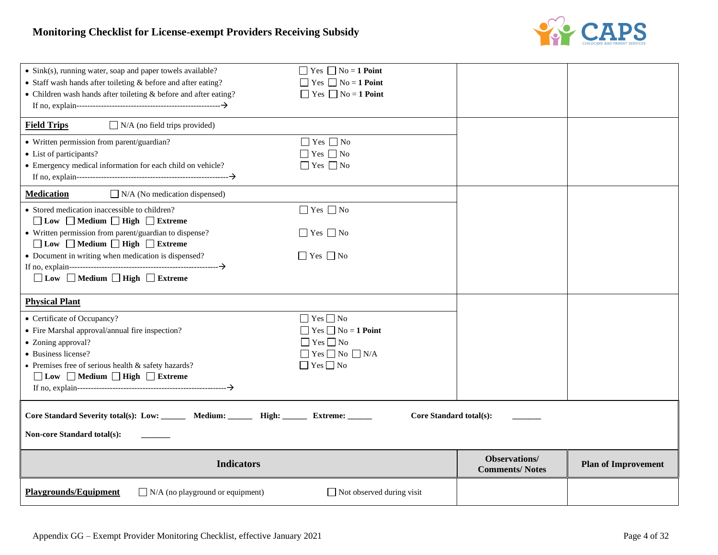

| <b>Playgrounds/Equipment</b><br>$\Box$ N/A (no playground or equipment)                                                                           | $\Box$ Not observed during visit                        |                                               |                            |  |  |  |
|---------------------------------------------------------------------------------------------------------------------------------------------------|---------------------------------------------------------|-----------------------------------------------|----------------------------|--|--|--|
| <b>Indicators</b>                                                                                                                                 |                                                         | <b>Observations/</b><br><b>Comments/Notes</b> | <b>Plan of Improvement</b> |  |  |  |
| Core Standard Severity total(s): Low: _______ Medium: ______ High: _____ Extreme: _____<br>Core Standard total(s):<br>Non-core Standard total(s): |                                                         |                                               |                            |  |  |  |
|                                                                                                                                                   |                                                         |                                               |                            |  |  |  |
| □ Low □ Medium □ High □ Extreme                                                                                                                   |                                                         |                                               |                            |  |  |  |
| • Business license?<br>• Premises free of serious health $&$ safety hazards?                                                                      | $\Box$ Yes $\Box$ No $\Box$ N/A<br>$\Box$ Yes $\Box$ No |                                               |                            |  |  |  |
| • Zoning approval?                                                                                                                                | $\Box$ Yes $\Box$ No                                    |                                               |                            |  |  |  |
| • Fire Marshal approval/annual fire inspection?                                                                                                   | $\Box$ Yes $\Box$ No = 1 Point                          |                                               |                            |  |  |  |
| • Certificate of Occupancy?                                                                                                                       | $\Box$ Yes $\Box$ No                                    |                                               |                            |  |  |  |
| <b>Physical Plant</b>                                                                                                                             |                                                         |                                               |                            |  |  |  |
| □ Low □ Medium □ High □ Extreme                                                                                                                   |                                                         |                                               |                            |  |  |  |
|                                                                                                                                                   |                                                         |                                               |                            |  |  |  |
| □ Low □ Medium □ High □ Extreme<br>• Document in writing when medication is dispensed?                                                            | $\Box$ Yes $\Box$ No                                    |                                               |                            |  |  |  |
| • Written permission from parent/guardian to dispense?                                                                                            | $\Box$ Yes $\Box$ No                                    |                                               |                            |  |  |  |
| $\Box$ Low $\Box$ Medium $\Box$ High $\Box$ Extreme                                                                                               |                                                         |                                               |                            |  |  |  |
| • Stored medication inaccessible to children?                                                                                                     | $\Box$ Yes $\Box$ No                                    |                                               |                            |  |  |  |
| $\Box$ N/A (No medication dispensed)<br><b>Medication</b>                                                                                         |                                                         |                                               |                            |  |  |  |
|                                                                                                                                                   |                                                         |                                               |                            |  |  |  |
| • Emergency medical information for each child on vehicle?                                                                                        | $\Box$ Yes $\Box$ No                                    |                                               |                            |  |  |  |
| • Written permission from parent/guardian?<br>• List of participants?                                                                             | $\Box$ Yes $\Box$ No<br>$\Box$ Yes $\Box$ No            |                                               |                            |  |  |  |
| <b>Field Trips</b><br>$\Box$ N/A (no field trips provided)                                                                                        |                                                         |                                               |                            |  |  |  |
|                                                                                                                                                   |                                                         |                                               |                            |  |  |  |
| • Children wash hands after toileting & before and after eating?                                                                                  | $\Box$ Yes $\Box$ No = 1 Point                          |                                               |                            |  |  |  |
| $\bullet$ Staff wash hands after toileting & before and after eating?                                                                             | $\Box$ Yes $\Box$ No = 1 Point                          |                                               |                            |  |  |  |
| $\bullet$ Sink(s), running water, soap and paper towels available?                                                                                | $\Box$ Yes $\Box$ No = 1 Point                          |                                               |                            |  |  |  |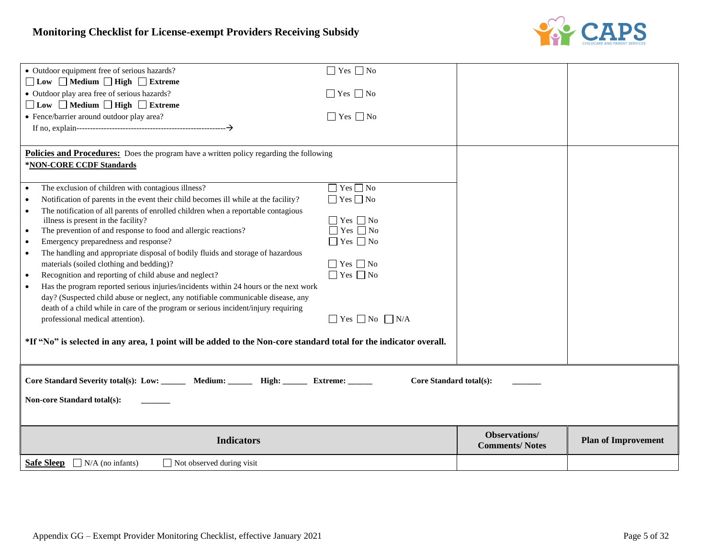

| • Outdoor equipment free of serious hazards?                                                                                                                             | $\Box$ Yes $\Box$ No            |                       |                            |
|--------------------------------------------------------------------------------------------------------------------------------------------------------------------------|---------------------------------|-----------------------|----------------------------|
| □ Low □ Medium □ High □ Extreme                                                                                                                                          |                                 |                       |                            |
| • Outdoor play area free of serious hazards?                                                                                                                             | $\Box$ Yes $\Box$ No            |                       |                            |
| □ Low □ Medium □ High □ Extreme                                                                                                                                          |                                 |                       |                            |
| • Fence/barrier around outdoor play area?                                                                                                                                | $\Box$ Yes $\Box$ No            |                       |                            |
|                                                                                                                                                                          |                                 |                       |                            |
|                                                                                                                                                                          |                                 |                       |                            |
| Policies and Procedures: Does the program have a written policy regarding the following                                                                                  |                                 |                       |                            |
| *NON-CORE CCDF Standards                                                                                                                                                 |                                 |                       |                            |
|                                                                                                                                                                          |                                 |                       |                            |
| The exclusion of children with contagious illness?<br>$\bullet$                                                                                                          | $\Box$ Yes $\Box$ No            |                       |                            |
| Notification of parents in the event their child becomes ill while at the facility?<br>$\bullet$                                                                         | $\Box$ Yes $\Box$ No            |                       |                            |
| The notification of all parents of enrolled children when a reportable contagious                                                                                        |                                 |                       |                            |
| illness is present in the facility?                                                                                                                                      | $\Box$ Yes $\Box$ No            |                       |                            |
| The prevention of and response to food and allergic reactions?<br>$\bullet$                                                                                              | $\Box$ Yes $\Box$ No            |                       |                            |
| Emergency preparedness and response?<br>$\bullet$                                                                                                                        | $\Box$ Yes $\Box$ No            |                       |                            |
| The handling and appropriate disposal of bodily fluids and storage of hazardous<br>$\bullet$                                                                             |                                 |                       |                            |
| materials (soiled clothing and bedding)?                                                                                                                                 | $\Box$ Yes $\Box$ No            |                       |                            |
| Recognition and reporting of child abuse and neglect?<br>$\bullet$                                                                                                       | $\Box$ Yes $\Box$ No            |                       |                            |
| Has the program reported serious injuries/incidents within 24 hours or the next work<br>day? (Suspected child abuse or neglect, any notifiable communicable disease, any |                                 |                       |                            |
| death of a child while in care of the program or serious incident/injury requiring                                                                                       |                                 |                       |                            |
| professional medical attention).                                                                                                                                         | $\Box$ Yes $\Box$ No $\Box$ N/A |                       |                            |
|                                                                                                                                                                          |                                 |                       |                            |
| *If "No" is selected in any area, 1 point will be added to the Non-core standard total for the indicator overall.                                                        |                                 |                       |                            |
|                                                                                                                                                                          |                                 |                       |                            |
|                                                                                                                                                                          |                                 |                       |                            |
|                                                                                                                                                                          |                                 |                       |                            |
| Core Standard Severity total(s): Low: _______ Medium: _______ High: ______ Extreme: _____                                                                                | Core Standard total(s):         |                       |                            |
| <b>Non-core Standard total(s):</b>                                                                                                                                       |                                 |                       |                            |
|                                                                                                                                                                          |                                 |                       |                            |
|                                                                                                                                                                          |                                 |                       |                            |
|                                                                                                                                                                          |                                 | Observations/         |                            |
| <b>Indicators</b>                                                                                                                                                        |                                 | <b>Comments/Notes</b> | <b>Plan of Improvement</b> |
| <b>Safe Sleep</b><br>$\Box$ N/A (no infants)<br>$\Box$ Not observed during visit                                                                                         |                                 |                       |                            |
|                                                                                                                                                                          |                                 |                       |                            |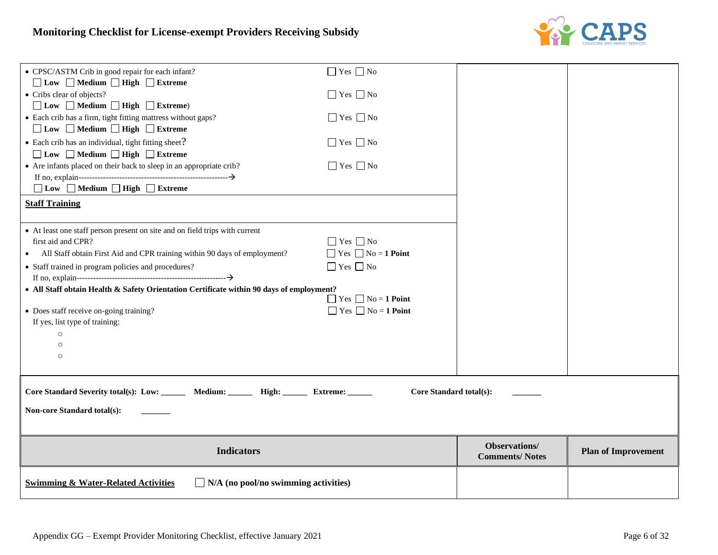

| • CPSC/ASTM Crib in good repair for each infant?                                                | $\Box$ Yes $\Box$ No           |                                               |                            |
|-------------------------------------------------------------------------------------------------|--------------------------------|-----------------------------------------------|----------------------------|
| □ Low □ Medium □ High □ Extreme<br>• Cribs clear of objects?                                    | $\Box$ Yes $\Box$ No           |                                               |                            |
| $\Box$ Low $\Box$ Medium $\Box$ High $\Box$ Extreme)                                            |                                |                                               |                            |
| • Each crib has a firm, tight fitting mattress without gaps?<br>□ Low □ Medium □ High □ Extreme | $\Box$ Yes $\Box$ No           |                                               |                            |
| • Each crib has an individual, tight fitting sheet?                                             | $\Box$ Yes $\Box$ No           |                                               |                            |
| $\Box$ Low $\Box$ Medium $\Box$ High $\Box$ Extreme                                             |                                |                                               |                            |
| • Are infants placed on their back to sleep in an appropriate crib?                             | $\Box$ Yes $\Box$ No           |                                               |                            |
| $\Box$ Low $\Box$ Medium $\Box$ High $\Box$ Extreme                                             |                                |                                               |                            |
| <b>Staff Training</b>                                                                           |                                |                                               |                            |
| • At least one staff person present on site and on field trips with current                     |                                |                                               |                            |
| first aid and CPR?                                                                              | $\Box$ Yes $\Box$ No           |                                               |                            |
| All Staff obtain First Aid and CPR training within 90 days of employment?                       | $\Box$ Yes $\Box$ No = 1 Point |                                               |                            |
| • Staff trained in program policies and procedures?                                             | $\Box$ Yes $\Box$ No           |                                               |                            |
|                                                                                                 |                                |                                               |                            |
| • All Staff obtain Health & Safety Orientation Certificate within 90 days of employment?        | $\Box$ Yes $\Box$ No = 1 Point |                                               |                            |
| • Does staff receive on-going training?                                                         | $\Box$ Yes $\Box$ No = 1 Point |                                               |                            |
| If yes, list type of training:                                                                  |                                |                                               |                            |
| $\Omega$                                                                                        |                                |                                               |                            |
| O                                                                                               |                                |                                               |                            |
| $\circ$                                                                                         |                                |                                               |                            |
| Core Standard Severity total(s): Low: _______ Medium: ______ High: ______ Extreme: _____        | Core Standard total(s):        |                                               |                            |
|                                                                                                 |                                |                                               |                            |
| Non-core Standard total(s):                                                                     |                                |                                               |                            |
|                                                                                                 |                                |                                               |                            |
| <b>Indicators</b>                                                                               |                                | <b>Observations/</b><br><b>Comments/Notes</b> | <b>Plan of Improvement</b> |
| <b>Swimming &amp; Water-Related Activities</b><br>$\Box$ N/A (no pool/no swimming activities)   |                                |                                               |                            |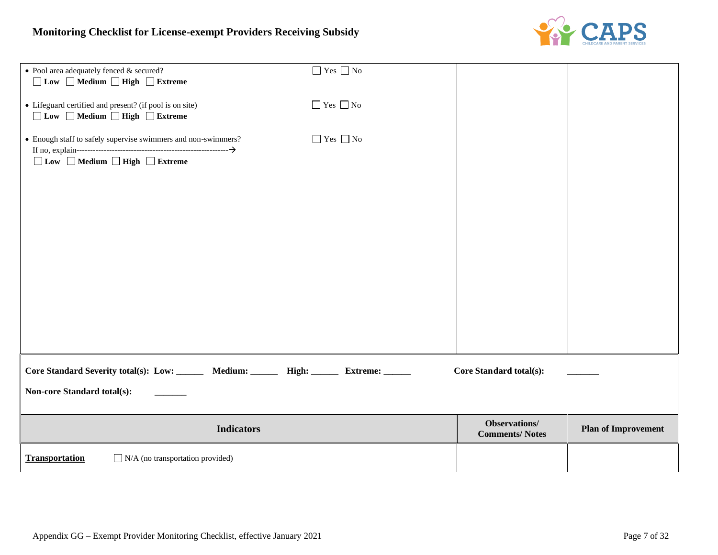

| • Pool area adequately fenced & secured?<br>□ Low □ Medium □ High □ Extreme                                     | $\hfill\Box$<br>Yes $\hfill\Box$<br>No |                                        |                            |
|-----------------------------------------------------------------------------------------------------------------|----------------------------------------|----------------------------------------|----------------------------|
| • Lifeguard certified and present? (if pool is on site)<br>□Low □ Medium □ High □ Extreme                       | $\Box$ Yes $\Box$ No                   |                                        |                            |
| • Enough staff to safely supervise swimmers and non-swimmers?<br>□ Low □ Medium □ High □ Extreme                | $\hfill\Box$<br>Yes $\hfill\Box$<br>No |                                        |                            |
| Core Standard Severity total(s): Low: _______ Medium: ______ High: ______<br><b>Non-core Standard total(s):</b> | Extreme: ______                        | <b>Core Standard total(s):</b>         |                            |
| <b>Indicators</b>                                                                                               |                                        | Observations/<br><b>Comments/Notes</b> | <b>Plan of Improvement</b> |
| <b>Transportation</b><br>$\Box$ N/A (no transportation provided)                                                |                                        |                                        |                            |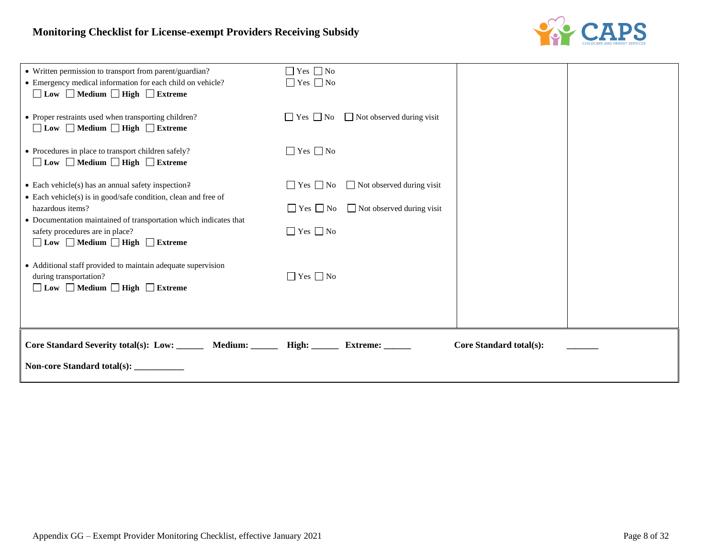

| Core Standard Severity total(s): Low: _______ Medium: ______ High: ______ Extreme: ______<br>Non-core Standard total(s): __________                                          |                                                                                                            | Core Standard total(s): |
|------------------------------------------------------------------------------------------------------------------------------------------------------------------------------|------------------------------------------------------------------------------------------------------------|-------------------------|
| • Additional staff provided to maintain adequate supervision<br>during transportation?<br>$\Box$ Low $\Box$ Medium $\Box$ High $\Box$ Extreme                                | $\Box$ Yes $\Box$ No                                                                                       |                         |
| • Documentation maintained of transportation which indicates that<br>safety procedures are in place?<br>□Low □ Medium □ High □ Extreme                                       | $\Box$ Yes $\Box$ No                                                                                       |                         |
| $\bullet$ Each vehicle(s) has an annual safety inspection?<br>• Each vehicle(s) is in good/safe condition, clean and free of<br>hazardous items?                             | $\Box$ Yes $\Box$ No<br>□ Not observed during visit<br>$\Box$ Yes $\Box$ No<br>□ Not observed during visit |                         |
| • Procedures in place to transport children safely?<br>$\Box$ Low $\Box$ Medium $\Box$ High $\Box$ Extreme                                                                   | $\Box$ Yes $\Box$ No                                                                                       |                         |
| • Proper restraints used when transporting children?<br>$\Box$ Low $\Box$ Medium $\Box$ High $\Box$ Extreme                                                                  | $\Box$ Not observed during visit<br>$\Box$ Yes $\Box$ No                                                   |                         |
| • Written permission to transport from parent/guardian?<br>• Emergency medical information for each child on vehicle?<br>$\Box$ Low $\Box$ Medium $\Box$ High $\Box$ Extreme | $\Box$ Yes $\Box$ No<br>$\Box$ Yes $\Box$ No                                                               |                         |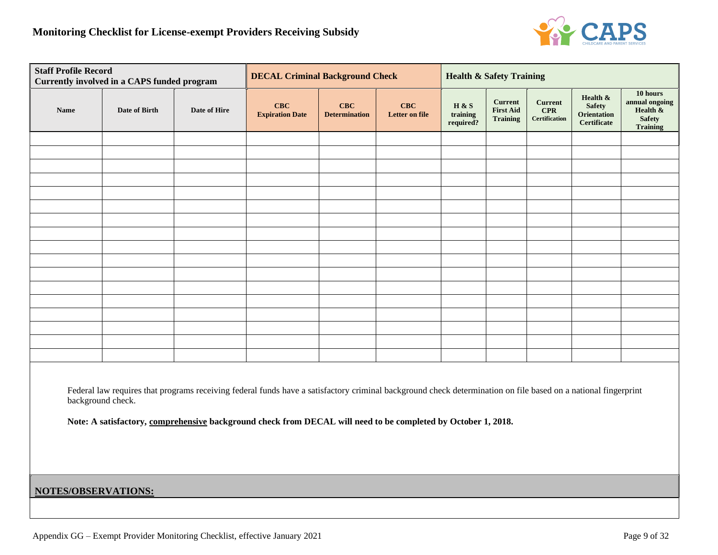

|                                                                                                                                                                                                                                                                                                      | <b>Staff Profile Record</b><br><b>Currently involved in a CAPS funded program</b> |              |                               | <b>DECAL Criminal Background Check</b> |                              |                                | <b>Health &amp; Safety Training</b>                   |                                                      |                                                                |                                                                               |
|------------------------------------------------------------------------------------------------------------------------------------------------------------------------------------------------------------------------------------------------------------------------------------------------------|-----------------------------------------------------------------------------------|--------------|-------------------------------|----------------------------------------|------------------------------|--------------------------------|-------------------------------------------------------|------------------------------------------------------|----------------------------------------------------------------|-------------------------------------------------------------------------------|
| Name                                                                                                                                                                                                                                                                                                 | Date of Birth                                                                     | Date of Hire | CBC<br><b>Expiration Date</b> | CBC<br><b>Determination</b>            | CBC<br><b>Letter on file</b> | H & S<br>training<br>required? | <b>Current</b><br><b>First Aid</b><br><b>Training</b> | <b>Current</b><br><b>CPR</b><br><b>Certification</b> | Health &<br><b>Safety</b><br>Orientation<br><b>Certificate</b> | 10 hours<br>annual ongoing<br>Health $\&$<br><b>Safety</b><br><b>Training</b> |
|                                                                                                                                                                                                                                                                                                      |                                                                                   |              |                               |                                        |                              |                                |                                                       |                                                      |                                                                |                                                                               |
|                                                                                                                                                                                                                                                                                                      |                                                                                   |              |                               |                                        |                              |                                |                                                       |                                                      |                                                                |                                                                               |
|                                                                                                                                                                                                                                                                                                      |                                                                                   |              |                               |                                        |                              |                                |                                                       |                                                      |                                                                |                                                                               |
|                                                                                                                                                                                                                                                                                                      |                                                                                   |              |                               |                                        |                              |                                |                                                       |                                                      |                                                                |                                                                               |
|                                                                                                                                                                                                                                                                                                      |                                                                                   |              |                               |                                        |                              |                                |                                                       |                                                      |                                                                |                                                                               |
|                                                                                                                                                                                                                                                                                                      |                                                                                   |              |                               |                                        |                              |                                |                                                       |                                                      |                                                                |                                                                               |
|                                                                                                                                                                                                                                                                                                      |                                                                                   |              |                               |                                        |                              |                                |                                                       |                                                      |                                                                |                                                                               |
|                                                                                                                                                                                                                                                                                                      |                                                                                   |              |                               |                                        |                              |                                |                                                       |                                                      |                                                                |                                                                               |
|                                                                                                                                                                                                                                                                                                      |                                                                                   |              |                               |                                        |                              |                                |                                                       |                                                      |                                                                |                                                                               |
|                                                                                                                                                                                                                                                                                                      |                                                                                   |              |                               |                                        |                              |                                |                                                       |                                                      |                                                                |                                                                               |
|                                                                                                                                                                                                                                                                                                      |                                                                                   |              |                               |                                        |                              |                                |                                                       |                                                      |                                                                |                                                                               |
|                                                                                                                                                                                                                                                                                                      |                                                                                   |              |                               |                                        |                              |                                |                                                       |                                                      |                                                                |                                                                               |
|                                                                                                                                                                                                                                                                                                      |                                                                                   |              |                               |                                        |                              |                                |                                                       |                                                      |                                                                |                                                                               |
|                                                                                                                                                                                                                                                                                                      |                                                                                   |              |                               |                                        |                              |                                |                                                       |                                                      |                                                                |                                                                               |
|                                                                                                                                                                                                                                                                                                      |                                                                                   |              |                               |                                        |                              |                                |                                                       |                                                      |                                                                |                                                                               |
|                                                                                                                                                                                                                                                                                                      |                                                                                   |              |                               |                                        |                              |                                |                                                       |                                                      |                                                                |                                                                               |
| Federal law requires that programs receiving federal funds have a satisfactory criminal background check determination on file based on a national fingerprint<br>background check.<br>Note: A satisfactory, comprehensive background check from DECAL will need to be completed by October 1, 2018. |                                                                                   |              |                               |                                        |                              |                                |                                                       |                                                      |                                                                |                                                                               |
| NOTES/OBSERVATIONS:                                                                                                                                                                                                                                                                                  |                                                                                   |              |                               |                                        |                              |                                |                                                       |                                                      |                                                                |                                                                               |
|                                                                                                                                                                                                                                                                                                      |                                                                                   |              |                               |                                        |                              |                                |                                                       |                                                      |                                                                |                                                                               |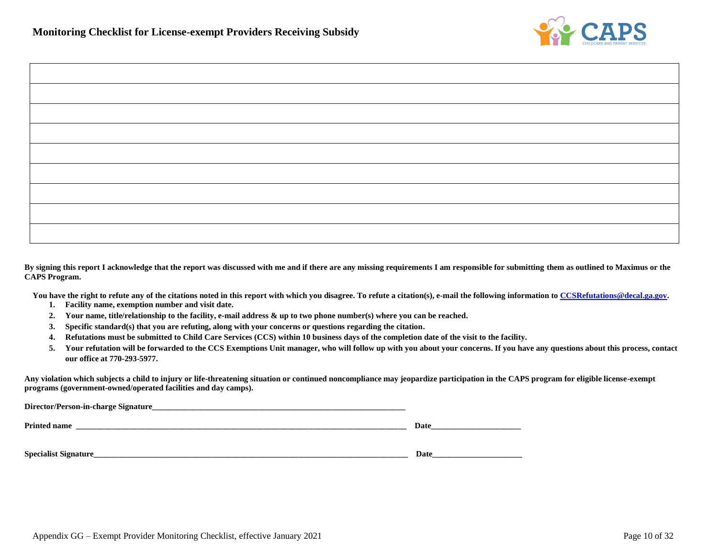

| <u> 1989 - Johann Stoff, deutscher Stoffen und der Stoffen und der Stoffen und der Stoffen und der Stoffen und der</u> |  |
|------------------------------------------------------------------------------------------------------------------------|--|
|                                                                                                                        |  |
|                                                                                                                        |  |
|                                                                                                                        |  |
|                                                                                                                        |  |

**By signing this report I acknowledge that the report was discussed with me and if there are any missing requirements I am responsible for submitting them as outlined to Maximus or the CAPS Program.**

You have the right to refute any of the citations noted in this report with which you disagree. To refute a citation(s), e-mail the following information t[o CCSRefutations@decal.ga.gov.](mailto:CCSRefutations@decal.ga.gov)

- **1. Facility name, exemption number and visit date.**
- **2. Your name, title/relationship to the facility, e-mail address & up to two phone number(s) where you can be reached.**
- **3. Specific standard(s) that you are refuting, along with your concerns or questions regarding the citation.**
- **4. Refutations must be submitted to Child Care Services (CCS) within 10 business days of the completion date of the visit to the facility.**
- **5. Your refutation will be forwarded to the CCS Exemptions Unit manager, who will follow up with you about your concerns. If you have any questions about this process, contact our office at 770-293-5977.**

**Any violation which subjects a child to injury or life-threatening situation or continued noncompliance may jeopardize participation in the CAPS program for eligible license-exempt programs (government-owned/operated facilities and day camps).**

| Director/Person-in-charge Signature_ |      |
|--------------------------------------|------|
| <b>Printed name</b>                  | Date |
| <b>Specialist Signature_</b>         | Date |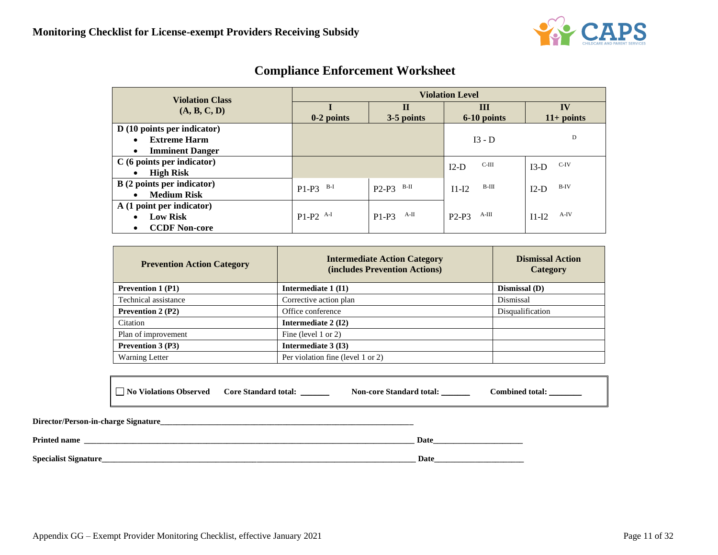

| <b>Violation Class</b>              | <b>Violation Level</b> |                           |                   |                           |  |  |  |
|-------------------------------------|------------------------|---------------------------|-------------------|---------------------------|--|--|--|
| (A, B, C, D)                        | $0-2$ points           | $\mathbf H$<br>3-5 points | Ш<br>6-10 points  | $\bf{IV}$<br>$11+$ points |  |  |  |
| D (10 points per indicator)         |                        |                           |                   |                           |  |  |  |
| <b>Extreme Harm</b><br>$\bullet$    |                        |                           | $I3 - D$          | D                         |  |  |  |
| <b>Imminent Danger</b><br>$\bullet$ |                        |                           |                   |                           |  |  |  |
| $C(6 \text{ points per indicator})$ |                        |                           | $C-III$<br>$I2-D$ | C-IV<br>$I3-D$            |  |  |  |
| <b>High Risk</b><br>$\bullet$       |                        |                           |                   |                           |  |  |  |
| B (2 points per indicator)          | B-I<br>$P1-P3$         | B-II<br>$P2-P3$           | B-III<br>$I1-I2$  | $B-IV$<br>$I2-D$          |  |  |  |
| <b>Medium Risk</b><br>$\bullet$     |                        |                           |                   |                           |  |  |  |
| A (1 point per indicator)           |                        |                           |                   |                           |  |  |  |
| <b>Low Risk</b><br>$\bullet$        | $P1-P2$ <sup>A-I</sup> | A-II<br>$P1-P3$           | A-III<br>$P2-P3$  | $A-IV$<br>$I1-I2$         |  |  |  |
| <b>CCDF Non-core</b><br>٠           |                        |                           |                   |                           |  |  |  |

# **Compliance Enforcement Worksheet**

| <b>Prevention Action Category</b> | <b>Intermediate Action Category</b><br>(includes Prevention Actions) | <b>Dismissal Action</b><br>Category |
|-----------------------------------|----------------------------------------------------------------------|-------------------------------------|
| <b>Prevention 1 (P1)</b>          | Intermediate 1 (I1)                                                  | Dismissal (D)                       |
| Technical assistance              | Corrective action plan                                               | Dismissal                           |
| <b>Prevention 2 (P2)</b>          | Office conference                                                    | Disqualification                    |
| Citation                          | Intermediate 2 (I2)                                                  |                                     |
| Plan of improvement               | Fine (level 1 or 2)                                                  |                                     |
| <b>Prevention 3 (P3)</b>          | Intermediate 3 (13)                                                  |                                     |
| <b>Warning Letter</b>             | Per violation fine (level 1 or 2)                                    |                                     |

| No Violations Observed | <b>Core Standard total:</b> | <b>Non-core Standard total:</b> | <b>Combined total:</b> |
|------------------------|-----------------------------|---------------------------------|------------------------|
|                        |                             |                                 |                        |

| Director/Person-in-charge Signature_ |      |
|--------------------------------------|------|
| <b>Printed name</b>                  | Date |
| <b>Specialist Signature_</b>         | Date |

Г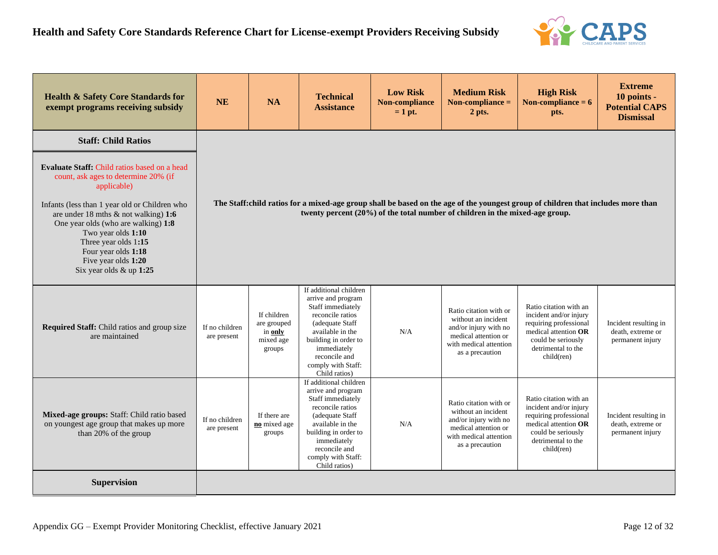

| <b>Health &amp; Safety Core Standards for</b><br>exempt programs receiving subsidy                                                                                                                                                                                                                                                                                   | <b>NE</b>                                                                                                                                                                                                        | <b>NA</b>                                                    | <b>Technical</b><br><b>Assistance</b>                                                                                                                                                                                       | <b>Low Risk</b><br><b>Non-compliance</b><br>$= 1$ pt. | <b>Medium Risk</b><br>Non-compliance $=$<br>2 pts.                                                                                          | <b>High Risk</b><br>Non-compliance = $6$<br>pts.                                                                                                             | <b>Extreme</b><br>10 points -<br><b>Potential CAPS</b><br><b>Dismissal</b> |  |
|----------------------------------------------------------------------------------------------------------------------------------------------------------------------------------------------------------------------------------------------------------------------------------------------------------------------------------------------------------------------|------------------------------------------------------------------------------------------------------------------------------------------------------------------------------------------------------------------|--------------------------------------------------------------|-----------------------------------------------------------------------------------------------------------------------------------------------------------------------------------------------------------------------------|-------------------------------------------------------|---------------------------------------------------------------------------------------------------------------------------------------------|--------------------------------------------------------------------------------------------------------------------------------------------------------------|----------------------------------------------------------------------------|--|
| <b>Staff: Child Ratios</b>                                                                                                                                                                                                                                                                                                                                           |                                                                                                                                                                                                                  |                                                              |                                                                                                                                                                                                                             |                                                       |                                                                                                                                             |                                                                                                                                                              |                                                                            |  |
| <b>Evaluate Staff: Child ratios based on a head</b><br>count, ask ages to determine 20% (if<br>applicable)<br>Infants (less than 1 year old or Children who<br>are under 18 mths $\&$ not walking) 1:6<br>One year olds (who are walking) 1:8<br>Two year olds 1:10<br>Three year olds 1:15<br>Four year olds 1:18<br>Five year olds 1:20<br>Six year olds & up 1:25 | The Staff:child ratios for a mixed-age group shall be based on the age of the youngest group of children that includes more than<br>twenty percent (20%) of the total number of children in the mixed-age group. |                                                              |                                                                                                                                                                                                                             |                                                       |                                                                                                                                             |                                                                                                                                                              |                                                                            |  |
| Required Staff: Child ratios and group size<br>are maintained                                                                                                                                                                                                                                                                                                        | If no children<br>are present                                                                                                                                                                                    | If children<br>are grouped<br>in only<br>mixed age<br>groups | If additional children<br>arrive and program<br>Staff immediately<br>reconcile ratios<br>(adequate Staff<br>available in the<br>building in order to<br>immediately<br>reconcile and<br>comply with Staff:<br>Child ratios) | N/A                                                   | Ratio citation with or<br>without an incident<br>and/or injury with no<br>medical attention or<br>with medical attention<br>as a precaution | Ratio citation with an<br>incident and/or injury<br>requiring professional<br>medical attention OR<br>could be seriously<br>detrimental to the<br>child(ren) | Incident resulting in<br>death, extreme or<br>permanent injury             |  |
| Mixed-age groups: Staff: Child ratio based<br>on youngest age group that makes up more<br>than 20% of the group                                                                                                                                                                                                                                                      | If no children<br>are present                                                                                                                                                                                    | If there are<br>no mixed age<br>groups                       | If additional children<br>arrive and program<br>Staff immediately<br>reconcile ratios<br>(adequate Staff<br>available in the<br>building in order to<br>immediately<br>reconcile and<br>comply with Staff:<br>Child ratios) | N/A                                                   | Ratio citation with or<br>without an incident<br>and/or injury with no<br>medical attention or<br>with medical attention<br>as a precaution | Ratio citation with an<br>incident and/or injury<br>requiring professional<br>medical attention OR<br>could be seriously<br>detrimental to the<br>child(ren) | Incident resulting in<br>death, extreme or<br>permanent injury             |  |
| <b>Supervision</b>                                                                                                                                                                                                                                                                                                                                                   |                                                                                                                                                                                                                  |                                                              |                                                                                                                                                                                                                             |                                                       |                                                                                                                                             |                                                                                                                                                              |                                                                            |  |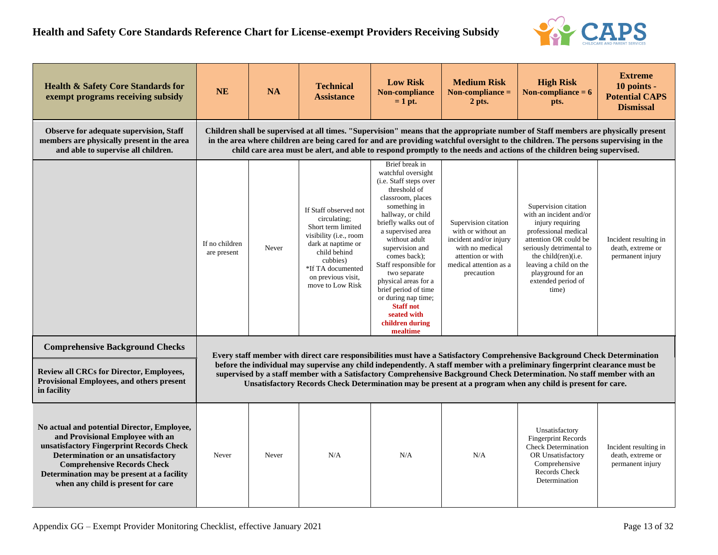

| <b>Health &amp; Safety Core Standards for</b><br>exempt programs receiving subsidy                                                                                                                                                                                                          | <b>NE</b>                     | <b>NA</b>                                                                                                                                                                                                                                                                                                                                                                                                                                                                                          | <b>Technical</b><br><b>Assistance</b>                                                                                                                                                                  | <b>Low Risk</b><br>Non-compliance<br>$= 1$ pt.                                                                                                                                                                                                                                                                                                                                                                              | <b>Medium Risk</b><br>Non-compliance $=$<br>2 pts.                                                                                                   | <b>High Risk</b><br>Non-compliance $= 6$<br>pts.                                                                                                                                                                                                      | <b>Extreme</b><br>10 points -<br><b>Potential CAPS</b><br><b>Dismissal</b> |  |  |  |
|---------------------------------------------------------------------------------------------------------------------------------------------------------------------------------------------------------------------------------------------------------------------------------------------|-------------------------------|----------------------------------------------------------------------------------------------------------------------------------------------------------------------------------------------------------------------------------------------------------------------------------------------------------------------------------------------------------------------------------------------------------------------------------------------------------------------------------------------------|--------------------------------------------------------------------------------------------------------------------------------------------------------------------------------------------------------|-----------------------------------------------------------------------------------------------------------------------------------------------------------------------------------------------------------------------------------------------------------------------------------------------------------------------------------------------------------------------------------------------------------------------------|------------------------------------------------------------------------------------------------------------------------------------------------------|-------------------------------------------------------------------------------------------------------------------------------------------------------------------------------------------------------------------------------------------------------|----------------------------------------------------------------------------|--|--|--|
| <b>Observe for adequate supervision, Staff</b><br>members are physically present in the area<br>and able to supervise all children.                                                                                                                                                         |                               | Children shall be supervised at all times. "Supervision" means that the appropriate number of Staff members are physically present<br>in the area where children are being cared for and are providing watchful oversight to the children. The persons supervising in the<br>child care area must be alert, and able to respond promptly to the needs and actions of the children being supervised.                                                                                                |                                                                                                                                                                                                        |                                                                                                                                                                                                                                                                                                                                                                                                                             |                                                                                                                                                      |                                                                                                                                                                                                                                                       |                                                                            |  |  |  |
|                                                                                                                                                                                                                                                                                             | If no children<br>are present | Never                                                                                                                                                                                                                                                                                                                                                                                                                                                                                              | If Staff observed not<br>circulating;<br>Short term limited<br>visibility (i.e., room<br>dark at naptime or<br>child behind<br>cubbies)<br>*If TA documented<br>on previous visit.<br>move to Low Risk | Brief break in<br>watchful oversight<br>(i.e. Staff steps over<br>threshold of<br>classroom, places<br>something in<br>hallway, or child<br>briefly walks out of<br>a supervised area<br>without adult<br>supervision and<br>comes back);<br>Staff responsible for<br>two separate<br>physical areas for a<br>brief period of time<br>or during nap time;<br><b>Staff not</b><br>seated with<br>children during<br>mealtime | Supervision citation<br>with or without an<br>incident and/or injury<br>with no medical<br>attention or with<br>medical attention as a<br>precaution | Supervision citation<br>with an incident and/or<br>injury requiring<br>professional medical<br>attention OR could be<br>seriously detrimental to<br>the child(ren)(i.e.<br>leaving a child on the<br>playground for an<br>extended period of<br>time) | Incident resulting in<br>death, extreme or<br>permanent injury             |  |  |  |
| <b>Comprehensive Background Checks</b>                                                                                                                                                                                                                                                      |                               |                                                                                                                                                                                                                                                                                                                                                                                                                                                                                                    |                                                                                                                                                                                                        |                                                                                                                                                                                                                                                                                                                                                                                                                             |                                                                                                                                                      |                                                                                                                                                                                                                                                       |                                                                            |  |  |  |
| <b>Review all CRCs for Director, Employees,</b><br>Provisional Employees, and others present<br>in facility                                                                                                                                                                                 |                               | Every staff member with direct care responsibilities must have a Satisfactory Comprehensive Background Check Determination<br>before the individual may supervise any child independently. A staff member with a preliminary fingerprint clearance must be<br>supervised by a staff member with a Satisfactory Comprehensive Background Check Determination. No staff member with an<br>Unsatisfactory Records Check Determination may be present at a program when any child is present for care. |                                                                                                                                                                                                        |                                                                                                                                                                                                                                                                                                                                                                                                                             |                                                                                                                                                      |                                                                                                                                                                                                                                                       |                                                                            |  |  |  |
| No actual and potential Director, Employee,<br>and Provisional Employee with an<br>unsatisfactory Fingerprint Records Check<br>Determination or an unsatisfactory<br><b>Comprehensive Records Check</b><br>Determination may be present at a facility<br>when any child is present for care | Never                         | Never                                                                                                                                                                                                                                                                                                                                                                                                                                                                                              | N/A                                                                                                                                                                                                    | N/A                                                                                                                                                                                                                                                                                                                                                                                                                         | N/A                                                                                                                                                  | Unsatisfactory<br><b>Fingerprint Records</b><br><b>Check Determination</b><br>OR Unsatisfactory<br>Comprehensive<br><b>Records Check</b><br>Determination                                                                                             | Incident resulting in<br>death, extreme or<br>permanent injury             |  |  |  |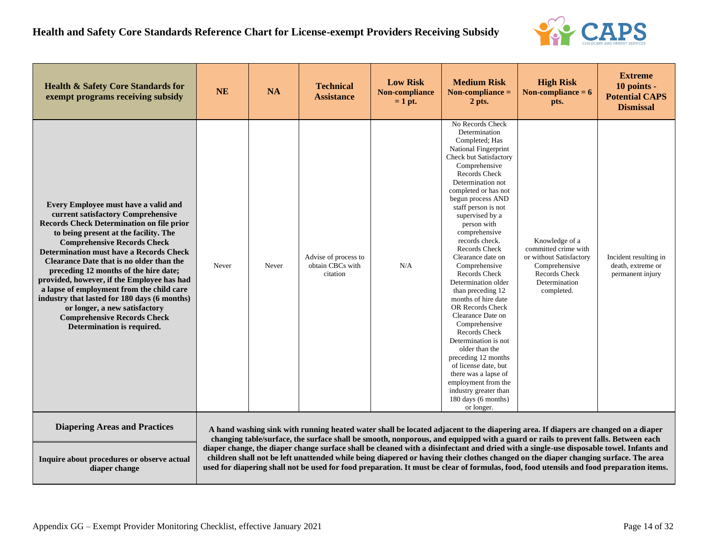

| <b>Health &amp; Safety Core Standards for</b><br>exempt programs receiving subsidy                                                                                                                                                                                                                                                                                                                                                                                                                                                                                                                          | <b>NE</b> | <b>NA</b> | <b>Technical</b><br><b>Assistance</b>                | <b>Low Risk</b><br>Non-compliance<br>$= 1$ pt. | <b>Medium Risk</b><br>Non-compliance $=$<br>2 pts.                                                                                                                                                                                                                                                                                                                                                                                                                                                                                                                                                                                                                                                                                              | <b>High Risk</b><br>Non-compliance $= 6$<br>pts.                                                                                                                                                                                                                                                                                                                                                                           | <b>Extreme</b><br>10 points -<br><b>Potential CAPS</b><br><b>Dismissal</b> |
|-------------------------------------------------------------------------------------------------------------------------------------------------------------------------------------------------------------------------------------------------------------------------------------------------------------------------------------------------------------------------------------------------------------------------------------------------------------------------------------------------------------------------------------------------------------------------------------------------------------|-----------|-----------|------------------------------------------------------|------------------------------------------------|-------------------------------------------------------------------------------------------------------------------------------------------------------------------------------------------------------------------------------------------------------------------------------------------------------------------------------------------------------------------------------------------------------------------------------------------------------------------------------------------------------------------------------------------------------------------------------------------------------------------------------------------------------------------------------------------------------------------------------------------------|----------------------------------------------------------------------------------------------------------------------------------------------------------------------------------------------------------------------------------------------------------------------------------------------------------------------------------------------------------------------------------------------------------------------------|----------------------------------------------------------------------------|
| <b>Every Employee must have a valid and</b><br>current satisfactory Comprehensive<br><b>Records Check Determination on file prior</b><br>to being present at the facility. The<br><b>Comprehensive Records Check</b><br><b>Determination must have a Records Check</b><br>Clearance Date that is no older than the<br>preceding 12 months of the hire date;<br>provided, however, if the Employee has had<br>a lapse of employment from the child care<br>industry that lasted for 180 days (6 months)<br>or longer, a new satisfactory<br><b>Comprehensive Records Check</b><br>Determination is required. | Never     | Never     | Advise of process to<br>obtain CBCs with<br>citation | N/A                                            | No Records Check<br>Determination<br>Completed; Has<br>National Fingerprint<br><b>Check but Satisfactory</b><br>Comprehensive<br>Records Check<br>Determination not<br>completed or has not<br>begun process AND<br>staff person is not<br>supervised by a<br>person with<br>comprehensive<br>records check.<br>Records Check<br>Clearance date on<br>Comprehensive<br>Records Check<br>Determination older<br>than preceding 12<br>months of hire date<br><b>OR Records Check</b><br>Clearance Date on<br>Comprehensive<br>Records Check<br>Determination is not<br>older than the<br>preceding 12 months<br>of license date, but<br>there was a lapse of<br>employment from the<br>industry greater than<br>180 days (6 months)<br>or longer. | Knowledge of a<br>committed crime with<br>or without Satisfactory<br>Comprehensive<br><b>Records Check</b><br>Determination<br>completed.                                                                                                                                                                                                                                                                                  | Incident resulting in<br>death, extreme or<br>permanent injury             |
| <b>Diapering Areas and Practices</b>                                                                                                                                                                                                                                                                                                                                                                                                                                                                                                                                                                        |           |           |                                                      |                                                |                                                                                                                                                                                                                                                                                                                                                                                                                                                                                                                                                                                                                                                                                                                                                 | A hand washing sink with running heated water shall be located adjacent to the diapering area. If diapers are changed on a diaper<br>changing table/surface, the surface shall be smooth, nonporous, and equipped with a guard or rails to prevent falls. Between each                                                                                                                                                     |                                                                            |
| Inquire about procedures or observe actual<br>diaper change                                                                                                                                                                                                                                                                                                                                                                                                                                                                                                                                                 |           |           |                                                      |                                                |                                                                                                                                                                                                                                                                                                                                                                                                                                                                                                                                                                                                                                                                                                                                                 | diaper change, the diaper change surface shall be cleaned with a disinfectant and dried with a single-use disposable towel. Infants and<br>children shall not be left unattended while being diapered or having their clothes changed on the diaper changing surface. The area<br>used for diapering shall not be used for food preparation. It must be clear of formulas, food, food utensils and food preparation items. |                                                                            |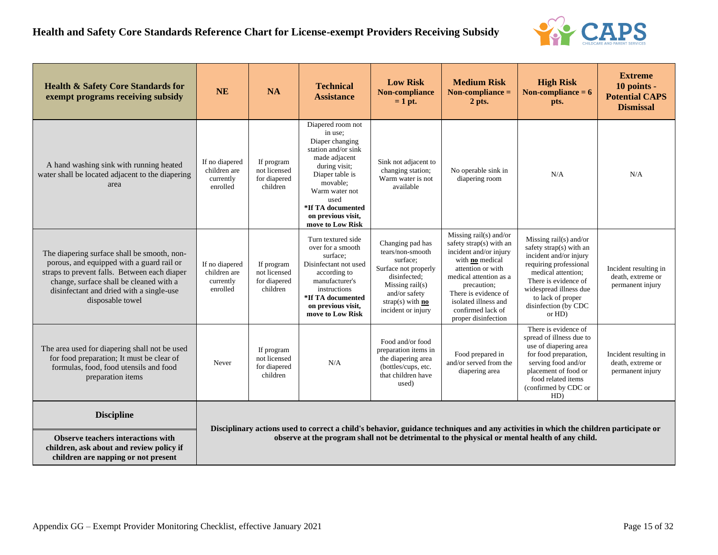

| <b>Health &amp; Safety Core Standards for</b><br>exempt programs receiving subsidy                                                                                                                                                                  | <b>NE</b>                                               | <b>NA</b>                                                                                                                                                                                                                              | <b>Technical</b><br><b>Assistance</b>                                                                                                                                                                                            | <b>Low Risk</b><br>Non-compliance<br>$= 1$ pt.                                                                                                                                    | <b>Medium Risk</b><br>Non-compliance $=$<br>$2$ pts.                                                                                                                                                                                                     | <b>High Risk</b><br>Non-compliance $= 6$<br>pts.                                                                                                                                                                                       | <b>Extreme</b><br>10 points -<br><b>Potential CAPS</b><br><b>Dismissal</b> |  |  |
|-----------------------------------------------------------------------------------------------------------------------------------------------------------------------------------------------------------------------------------------------------|---------------------------------------------------------|----------------------------------------------------------------------------------------------------------------------------------------------------------------------------------------------------------------------------------------|----------------------------------------------------------------------------------------------------------------------------------------------------------------------------------------------------------------------------------|-----------------------------------------------------------------------------------------------------------------------------------------------------------------------------------|----------------------------------------------------------------------------------------------------------------------------------------------------------------------------------------------------------------------------------------------------------|----------------------------------------------------------------------------------------------------------------------------------------------------------------------------------------------------------------------------------------|----------------------------------------------------------------------------|--|--|
| A hand washing sink with running heated<br>water shall be located adjacent to the diapering<br>area                                                                                                                                                 | If no diapered<br>children are<br>currently<br>enrolled | If program<br>not licensed<br>for diapered<br>children                                                                                                                                                                                 | Diapered room not<br>in use;<br>Diaper changing<br>station and/or sink<br>made adjacent<br>during visit;<br>Diaper table is<br>movable:<br>Warm water not<br>used<br>*If TA documented<br>on previous visit,<br>move to Low Risk | Sink not adjacent to<br>changing station;<br>Warm water is not<br>available                                                                                                       | No operable sink in<br>diapering room                                                                                                                                                                                                                    | N/A                                                                                                                                                                                                                                    | N/A                                                                        |  |  |
| The diapering surface shall be smooth, non-<br>porous, and equipped with a guard rail or<br>straps to prevent falls. Between each diaper<br>change, surface shall be cleaned with a<br>disinfectant and dried with a single-use<br>disposable towel | If no diapered<br>children are<br>currently<br>enrolled | If program<br>not licensed<br>for diapered<br>children                                                                                                                                                                                 | Turn textured side<br>over for a smooth<br>surface:<br>Disinfectant not used<br>according to<br>manufacturer's<br>instructions<br>*If TA documented<br>on previous visit,<br>move to Low Risk                                    | Changing pad has<br>tears/non-smooth<br>surface:<br>Surface not properly<br>disinfected:<br>Missing $\text{tail}(s)$<br>and/or safety<br>strap(s) with $no$<br>incident or injury | Missing rail(s) and/or<br>safety strap(s) with an<br>incident and/or injury<br>with no medical<br>attention or with<br>medical attention as a<br>precaution;<br>There is evidence of<br>isolated illness and<br>confirmed lack of<br>proper disinfection | Missing rail(s) and/or<br>safety strap(s) with an<br>incident and/or injury<br>requiring professional<br>medical attention;<br>There is evidence of<br>widespread illness due<br>to lack of proper<br>disinfection (by CDC<br>or $HD)$ | Incident resulting in<br>death, extreme or<br>permanent injury             |  |  |
| The area used for diapering shall not be used<br>for food preparation; It must be clear of<br>formulas, food, food utensils and food<br>preparation items                                                                                           | Never                                                   | If program<br>not licensed<br>for diapered<br>children                                                                                                                                                                                 | N/A                                                                                                                                                                                                                              | Food and/or food<br>preparation items in<br>the diapering area<br>(bottles/cups, etc.<br>that children have<br>used)                                                              | Food prepared in<br>and/or served from the<br>diapering area                                                                                                                                                                                             | There is evidence of<br>spread of illness due to<br>use of diapering area<br>for food preparation,<br>serving food and/or<br>placement of food or<br>food related items<br>(confirmed by CDC or<br>HD)                                 | Incident resulting in<br>death, extreme or<br>permanent injury             |  |  |
| <b>Discipline</b>                                                                                                                                                                                                                                   |                                                         |                                                                                                                                                                                                                                        |                                                                                                                                                                                                                                  |                                                                                                                                                                                   |                                                                                                                                                                                                                                                          |                                                                                                                                                                                                                                        |                                                                            |  |  |
| <b>Observe teachers interactions with</b><br>children, ask about and review policy if<br>children are napping or not present                                                                                                                        |                                                         | Disciplinary actions used to correct a child's behavior, guidance techniques and any activities in which the children participate or<br>observe at the program shall not be detrimental to the physical or mental health of any child. |                                                                                                                                                                                                                                  |                                                                                                                                                                                   |                                                                                                                                                                                                                                                          |                                                                                                                                                                                                                                        |                                                                            |  |  |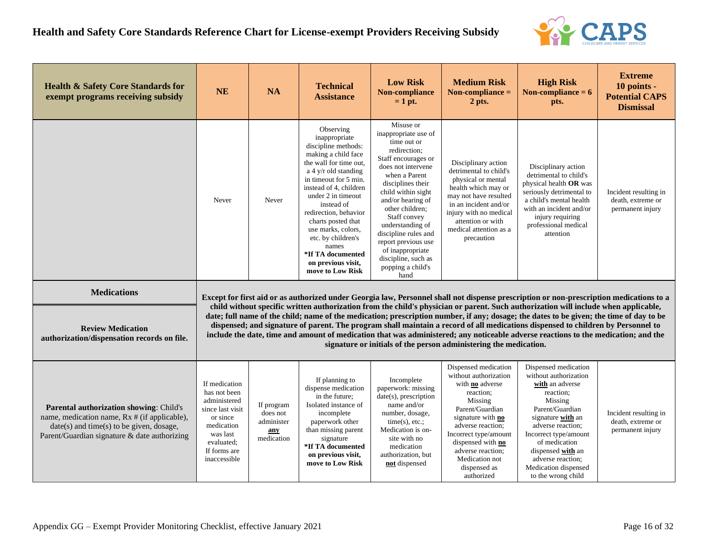

| <b>Health &amp; Safety Core Standards for</b><br>exempt programs receiving subsidy                                                                                                    | <b>NE</b>                                                                                                                                             | <b>NA</b>                                                                                                                                                                                                                                                                                                                                                                                                                                                                                                                                                                                                                     | <b>Technical</b><br><b>Assistance</b>                                                                                                                                                                                                                                                                                                                                                          | <b>Low Risk</b><br>Non-compliance<br>$= 1$ pt.                                                                                                                                                                                                                                                                                                                               | <b>Medium Risk</b><br>Non-compliance $=$<br>2 pts.                                                                                                                                                                                                                              | <b>High Risk</b><br>Non-compliance $= 6$<br>pts.                                                                                                                                                                                                                                        | <b>Extreme</b><br>10 points -<br><b>Potential CAPS</b><br><b>Dismissal</b> |  |  |
|---------------------------------------------------------------------------------------------------------------------------------------------------------------------------------------|-------------------------------------------------------------------------------------------------------------------------------------------------------|-------------------------------------------------------------------------------------------------------------------------------------------------------------------------------------------------------------------------------------------------------------------------------------------------------------------------------------------------------------------------------------------------------------------------------------------------------------------------------------------------------------------------------------------------------------------------------------------------------------------------------|------------------------------------------------------------------------------------------------------------------------------------------------------------------------------------------------------------------------------------------------------------------------------------------------------------------------------------------------------------------------------------------------|------------------------------------------------------------------------------------------------------------------------------------------------------------------------------------------------------------------------------------------------------------------------------------------------------------------------------------------------------------------------------|---------------------------------------------------------------------------------------------------------------------------------------------------------------------------------------------------------------------------------------------------------------------------------|-----------------------------------------------------------------------------------------------------------------------------------------------------------------------------------------------------------------------------------------------------------------------------------------|----------------------------------------------------------------------------|--|--|
|                                                                                                                                                                                       | Never                                                                                                                                                 | Never                                                                                                                                                                                                                                                                                                                                                                                                                                                                                                                                                                                                                         | Observing<br>inappropriate<br>discipline methods:<br>making a child face<br>the wall for time out,<br>a 4 $\frac{y}{r}$ old standing<br>in timeout for 5 min.<br>instead of 4, children<br>under 2 in timeout<br>instead of<br>redirection, behavior<br>charts posted that<br>use marks, colors,<br>etc. by children's<br>names<br>*If TA documented<br>on previous visit,<br>move to Low Risk | Misuse or<br>inappropriate use of<br>time out or<br>redirection;<br>Staff encourages or<br>does not intervene<br>when a Parent<br>disciplines their<br>child within sight<br>and/or hearing of<br>other children;<br>Staff convey<br>understanding of<br>discipline rules and<br>report previous use<br>of inappropriate<br>discipline, such as<br>popping a child's<br>hand | Disciplinary action<br>detrimental to child's<br>physical or mental<br>health which may or<br>may not have resulted<br>in an incident and/or<br>injury with no medical<br>attention or with<br>medical attention as a<br>precaution                                             | Disciplinary action<br>detrimental to child's<br>physical health OR was<br>seriously detrimental to<br>a child's mental health<br>with an incident and/or<br>injury requiring<br>professional medical<br>attention                                                                      | Incident resulting in<br>death, extreme or<br>permanent injury             |  |  |
| <b>Medications</b>                                                                                                                                                                    |                                                                                                                                                       | Except for first aid or as authorized under Georgia law, Personnel shall not dispense prescription or non-prescription medications to a                                                                                                                                                                                                                                                                                                                                                                                                                                                                                       |                                                                                                                                                                                                                                                                                                                                                                                                |                                                                                                                                                                                                                                                                                                                                                                              |                                                                                                                                                                                                                                                                                 |                                                                                                                                                                                                                                                                                         |                                                                            |  |  |
| <b>Review Medication</b><br>authorization/dispensation records on file.                                                                                                               |                                                                                                                                                       | child without specific written authorization from the child's physician or parent. Such authorization will include when applicable,<br>date; full name of the child; name of the medication; prescription number, if any; dosage; the dates to be given; the time of day to be<br>dispensed; and signature of parent. The program shall maintain a record of all medications dispensed to children by Personnel to<br>include the date, time and amount of medication that was administered; any noticeable adverse reactions to the medication; and the<br>signature or initials of the person administering the medication. |                                                                                                                                                                                                                                                                                                                                                                                                |                                                                                                                                                                                                                                                                                                                                                                              |                                                                                                                                                                                                                                                                                 |                                                                                                                                                                                                                                                                                         |                                                                            |  |  |
| Parental authorization showing: Child's<br>name, medication name, Rx # (if applicable),<br>$date(s)$ and time(s) to be given, dosage,<br>Parent/Guardian signature & date authorizing | If medication<br>has not been<br>administered<br>since last visit<br>or since<br>medication<br>was last<br>evaluated:<br>If forms are<br>inaccessible | If program<br>does not<br>administer<br>any<br>medication                                                                                                                                                                                                                                                                                                                                                                                                                                                                                                                                                                     | If planning to<br>dispense medication<br>in the future;<br>Isolated instance of<br>incomplete<br>paperwork other<br>than missing parent<br>signature<br>*If TA documented<br>on previous visit,<br>move to Low Risk                                                                                                                                                                            | Incomplete<br>paperwork: missing<br>date(s), prescription<br>name and/or<br>number, dosage,<br>$time(s)$ , etc.;<br>Medication is on-<br>site with no<br>medication<br>authorization, but<br>not dispensed                                                                                                                                                                   | Dispensed medication<br>without authorization<br>with no adverse<br>reaction;<br>Missing<br>Parent/Guardian<br>signature with <b>no</b><br>adverse reaction;<br>Incorrect type/amount<br>dispensed with no<br>adverse reaction:<br>Medication not<br>dispensed as<br>authorized | Dispensed medication<br>without authorization<br>with an adverse<br>reaction;<br>Missing<br>Parent/Guardian<br>signature with an<br>adverse reaction;<br>Incorrect type/amount<br>of medication<br>dispensed with an<br>adverse reaction;<br>Medication dispensed<br>to the wrong child | Incident resulting in<br>death, extreme or<br>permanent injury             |  |  |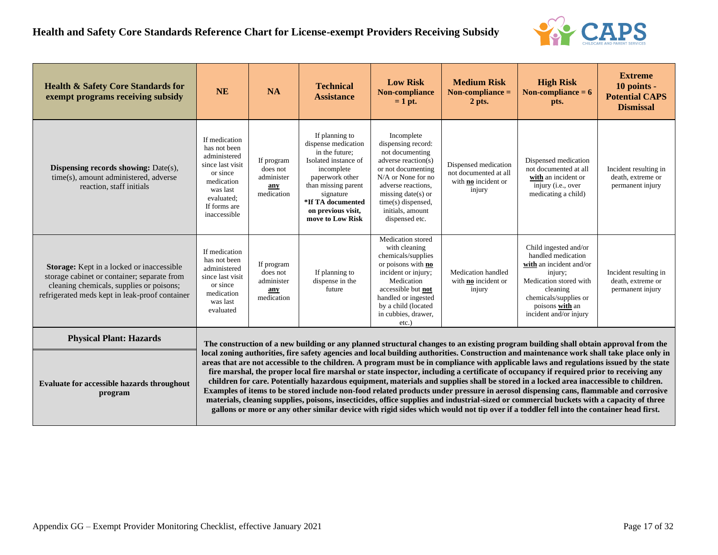

| <b>Health &amp; Safety Core Standards for</b><br>exempt programs receiving subsidy                                                                                                            | <b>NE</b>                                                                                                                                             | <b>NA</b>                                                                                                                                                                                                                                                                                                                                                                                                                                                                                                                                                                                                                                                                                                                                                                                                                                                                                                                                                                                                                                                                                                                                    | <b>Technical</b><br><b>Assistance</b>                                                                                                                                                                               | <b>Low Risk</b><br>Non-compliance<br>$= 1$ pt.                                                                                                                                                                                 | <b>Medium Risk</b><br>Non-compliance $=$<br>2 pts.                             | <b>High Risk</b><br>Non-compliance $= 6$<br>pts.                                                                                                                                              | <b>Extreme</b><br>10 points -<br><b>Potential CAPS</b><br><b>Dismissal</b> |  |  |
|-----------------------------------------------------------------------------------------------------------------------------------------------------------------------------------------------|-------------------------------------------------------------------------------------------------------------------------------------------------------|----------------------------------------------------------------------------------------------------------------------------------------------------------------------------------------------------------------------------------------------------------------------------------------------------------------------------------------------------------------------------------------------------------------------------------------------------------------------------------------------------------------------------------------------------------------------------------------------------------------------------------------------------------------------------------------------------------------------------------------------------------------------------------------------------------------------------------------------------------------------------------------------------------------------------------------------------------------------------------------------------------------------------------------------------------------------------------------------------------------------------------------------|---------------------------------------------------------------------------------------------------------------------------------------------------------------------------------------------------------------------|--------------------------------------------------------------------------------------------------------------------------------------------------------------------------------------------------------------------------------|--------------------------------------------------------------------------------|-----------------------------------------------------------------------------------------------------------------------------------------------------------------------------------------------|----------------------------------------------------------------------------|--|--|
| <b>Dispensing records showing: Date(s),</b><br>time(s), amount administered, adverse<br>reaction, staff initials                                                                              | If medication<br>has not been<br>administered<br>since last visit<br>or since<br>medication<br>was last<br>evaluated:<br>If forms are<br>inaccessible | If program<br>does not<br>administer<br>any<br>medication                                                                                                                                                                                                                                                                                                                                                                                                                                                                                                                                                                                                                                                                                                                                                                                                                                                                                                                                                                                                                                                                                    | If planning to<br>dispense medication<br>in the future;<br>Isolated instance of<br>incomplete<br>paperwork other<br>than missing parent<br>signature<br>*If TA documented<br>on previous visit,<br>move to Low Risk | Incomplete<br>dispensing record:<br>not documenting<br>adverse reaction(s)<br>or not documenting<br>N/A or None for no<br>adverse reactions,<br>missing date(s) or<br>time(s) dispensed,<br>initials, amount<br>dispensed etc. | Dispensed medication<br>not documented at all<br>with no incident or<br>injury | Dispensed medication<br>not documented at all<br>with an incident or<br>injury (i.e., over<br>medicating a child)                                                                             | Incident resulting in<br>death, extreme or<br>permanent injury             |  |  |
| <b>Storage:</b> Kept in a locked or inaccessible<br>storage cabinet or container; separate from<br>cleaning chemicals, supplies or poisons;<br>refrigerated meds kept in leak-proof container | If medication<br>has not been<br>administered<br>since last visit<br>or since<br>medication<br>was last<br>evaluated                                  | If program<br>does not<br>administer<br>any<br>medication                                                                                                                                                                                                                                                                                                                                                                                                                                                                                                                                                                                                                                                                                                                                                                                                                                                                                                                                                                                                                                                                                    | If planning to<br>dispense in the<br>future                                                                                                                                                                         | Medication stored<br>with cleaning<br>chemicals/supplies<br>or poisons with no<br>incident or injury;<br>Medication<br>accessible but not<br>handled or ingested<br>by a child (located<br>in cubbies, drawer,<br>$etc.$ )     | Medication handled<br>with <b>no</b> incident or<br>injury                     | Child ingested and/or<br>handled medication<br>with an incident and/or<br>injury;<br>Medication stored with<br>cleaning<br>chemicals/supplies or<br>poisons with an<br>incident and/or injury | Incident resulting in<br>death, extreme or<br>permanent injury             |  |  |
| <b>Physical Plant: Hazards</b>                                                                                                                                                                |                                                                                                                                                       |                                                                                                                                                                                                                                                                                                                                                                                                                                                                                                                                                                                                                                                                                                                                                                                                                                                                                                                                                                                                                                                                                                                                              |                                                                                                                                                                                                                     |                                                                                                                                                                                                                                |                                                                                |                                                                                                                                                                                               |                                                                            |  |  |
| Evaluate for accessible hazards throughout<br>program                                                                                                                                         |                                                                                                                                                       | The construction of a new building or any planned structural changes to an existing program building shall obtain approval from the<br>local zoning authorities, fire safety agencies and local building authorities. Construction and maintenance work shall take place only in<br>areas that are not accessible to the children. A program must be in compliance with applicable laws and regulations issued by the state<br>fire marshal, the proper local fire marshal or state inspector, including a certificate of occupancy if required prior to receiving any<br>children for care. Potentially hazardous equipment, materials and supplies shall be stored in a locked area inaccessible to children.<br>Examples of items to be stored include non-food related products under pressure in aerosol dispensing cans, flammable and corrosive<br>materials, cleaning supplies, poisons, insecticides, office supplies and industrial-sized or commercial buckets with a capacity of three<br>gallons or more or any other similar device with rigid sides which would not tip over if a toddler fell into the container head first. |                                                                                                                                                                                                                     |                                                                                                                                                                                                                                |                                                                                |                                                                                                                                                                                               |                                                                            |  |  |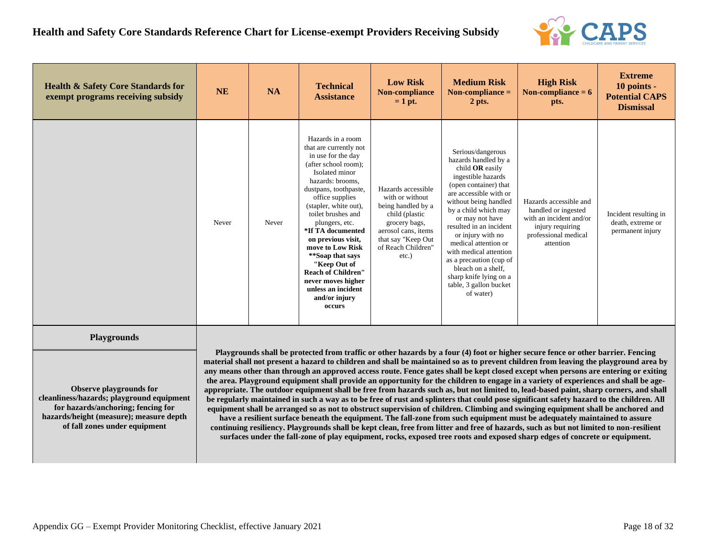

| <b>Health &amp; Safety Core Standards for</b><br>exempt programs receiving subsidy                                                                                                                           | <b>NE</b> | <b>NA</b> | <b>Technical</b><br><b>Assistance</b>                                                                                                                                                                                                                                                                                                                                                                                                               | <b>Low Risk</b><br>Non-compliance<br>$= 1$ pt.                                                                                                                                | <b>Medium Risk</b><br>Non-compliance $=$<br>2 pts.                                                                                                                                                                                                                                                                                                                                                                            | <b>High Risk</b><br>Non-compliance $= 6$<br>pts.                                                                                                                                                                                                                                                                                                                                                                                                                                                                                                                                                                                                                                                                                                                                                                                                                                                                                                                                                                                                                                                                                                                                                                                                                                                                                                                                        | <b>Extreme</b><br>10 points -<br><b>Potential CAPS</b><br><b>Dismissal</b> |
|--------------------------------------------------------------------------------------------------------------------------------------------------------------------------------------------------------------|-----------|-----------|-----------------------------------------------------------------------------------------------------------------------------------------------------------------------------------------------------------------------------------------------------------------------------------------------------------------------------------------------------------------------------------------------------------------------------------------------------|-------------------------------------------------------------------------------------------------------------------------------------------------------------------------------|-------------------------------------------------------------------------------------------------------------------------------------------------------------------------------------------------------------------------------------------------------------------------------------------------------------------------------------------------------------------------------------------------------------------------------|-----------------------------------------------------------------------------------------------------------------------------------------------------------------------------------------------------------------------------------------------------------------------------------------------------------------------------------------------------------------------------------------------------------------------------------------------------------------------------------------------------------------------------------------------------------------------------------------------------------------------------------------------------------------------------------------------------------------------------------------------------------------------------------------------------------------------------------------------------------------------------------------------------------------------------------------------------------------------------------------------------------------------------------------------------------------------------------------------------------------------------------------------------------------------------------------------------------------------------------------------------------------------------------------------------------------------------------------------------------------------------------------|----------------------------------------------------------------------------|
|                                                                                                                                                                                                              | Never     | Never     | Hazards in a room<br>that are currently not<br>in use for the day<br>(after school room);<br>Isolated minor<br>hazards: brooms.<br>dustpans, toothpaste,<br>office supplies<br>(stapler, white out),<br>toilet brushes and<br>plungers, etc.<br>*If TA documented<br>on previous visit,<br>move to Low Risk<br>**Soap that says<br>"Keep Out of<br><b>Reach of Children"</b><br>never moves higher<br>unless an incident<br>and/or injury<br>occurs | Hazards accessible<br>with or without<br>being handled by a<br>child (plastic<br>grocery bags,<br>aerosol cans, items<br>that say "Keep Out<br>of Reach Children"<br>$etc.$ ) | Serious/dangerous<br>hazards handled by a<br>child OR easily<br>ingestible hazards<br>(open container) that<br>are accessible with or<br>without being handled<br>by a child which may<br>or may not have<br>resulted in an incident<br>or injury with no<br>medical attention or<br>with medical attention<br>as a precaution (cup of<br>bleach on a shelf,<br>sharp knife lying on a<br>table, 3 gallon bucket<br>of water) | Hazards accessible and<br>handled or ingested<br>with an incident and/or<br>injury requiring<br>professional medical<br>attention                                                                                                                                                                                                                                                                                                                                                                                                                                                                                                                                                                                                                                                                                                                                                                                                                                                                                                                                                                                                                                                                                                                                                                                                                                                       | Incident resulting in<br>death, extreme or<br>permanent injury             |
| <b>Playgrounds</b><br>Observe playgrounds for<br>cleanliness/hazards; playground equipment<br>for hazards/anchoring; fencing for<br>hazards/height (measure); measure depth<br>of fall zones under equipment |           |           |                                                                                                                                                                                                                                                                                                                                                                                                                                                     |                                                                                                                                                                               |                                                                                                                                                                                                                                                                                                                                                                                                                               | Playgrounds shall be protected from traffic or other hazards by a four (4) foot or higher secure fence or other barrier. Fencing<br>material shall not present a hazard to children and shall be maintained so as to prevent children from leaving the playground area by<br>any means other than through an approved access route. Fence gates shall be kept closed except when persons are entering or exiting<br>the area. Playground equipment shall provide an opportunity for the children to engage in a variety of experiences and shall be age-<br>appropriate. The outdoor equipment shall be free from hazards such as, but not limited to, lead-based paint, sharp corners, and shall<br>be regularly maintained in such a way as to be free of rust and splinters that could pose significant safety hazard to the children. All<br>equipment shall be arranged so as not to obstruct supervision of children. Climbing and swinging equipment shall be anchored and<br>have a resilient surface beneath the equipment. The fall-zone from such equipment must be adequately maintained to assure<br>continuing resiliency. Playgrounds shall be kept clean, free from litter and free of hazards, such as but not limited to non-resilient<br>surfaces under the fall-zone of play equipment, rocks, exposed tree roots and exposed sharp edges of concrete or equipment. |                                                                            |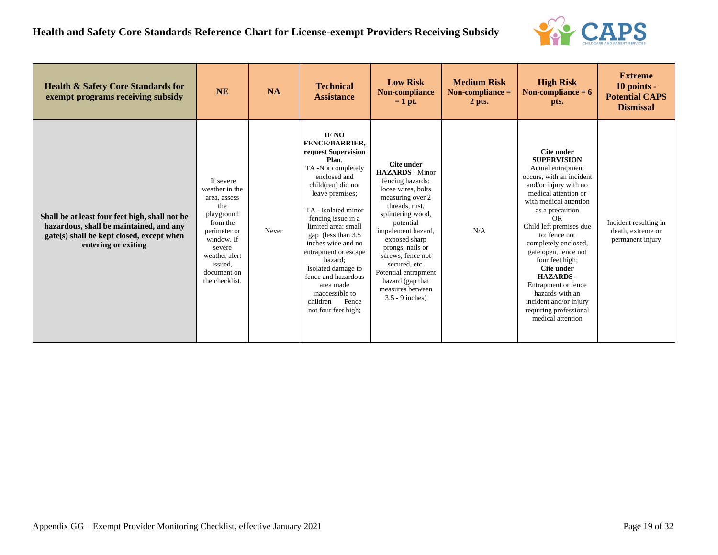

| <b>Health &amp; Safety Core Standards for</b><br>exempt programs receiving subsidy                                                                            | <b>NE</b>                                                                                                                                                                         | <b>NA</b> | <b>Technical</b><br><b>Assistance</b>                                                                                                                                                                                                                                                                                                                                                                                     | <b>Low Risk</b><br>Non-compliance<br>$= 1$ pt.                                                                                                                                                                                                                                                                                               | <b>Medium Risk</b><br>Non-compliance $=$<br>2 pts. | <b>High Risk</b><br>Non-compliance $= 6$<br>pts.                                                                                                                                                                                                                                                                                                                                                                                                         | <b>Extreme</b><br>10 points -<br><b>Potential CAPS</b><br><b>Dismissal</b> |
|---------------------------------------------------------------------------------------------------------------------------------------------------------------|-----------------------------------------------------------------------------------------------------------------------------------------------------------------------------------|-----------|---------------------------------------------------------------------------------------------------------------------------------------------------------------------------------------------------------------------------------------------------------------------------------------------------------------------------------------------------------------------------------------------------------------------------|----------------------------------------------------------------------------------------------------------------------------------------------------------------------------------------------------------------------------------------------------------------------------------------------------------------------------------------------|----------------------------------------------------|----------------------------------------------------------------------------------------------------------------------------------------------------------------------------------------------------------------------------------------------------------------------------------------------------------------------------------------------------------------------------------------------------------------------------------------------------------|----------------------------------------------------------------------------|
| Shall be at least four feet high, shall not be<br>hazardous, shall be maintained, and any<br>gate(s) shall be kept closed, except when<br>entering or exiting | If severe<br>weather in the<br>area, assess<br>the<br>playground<br>from the<br>perimeter or<br>window. If<br>severe<br>weather alert<br>issued.<br>document on<br>the checklist. | Never     | IF NO<br><b>FENCE/BARRIER.</b><br>request Supervision<br>Plan.<br>TA-Not completely<br>enclosed and<br>child(ren) did not<br>leave premises;<br>TA - Isolated minor<br>fencing issue in a<br>limited area: small<br>gap (less than 3.5)<br>inches wide and no<br>entrapment or escape<br>hazard;<br>Isolated damage to<br>fence and hazardous<br>area made<br>inaccessible to<br>children<br>Fence<br>not four feet high; | Cite under<br><b>HAZARDS</b> - Minor<br>fencing hazards:<br>loose wires, bolts<br>measuring over 2<br>threads, rust,<br>splintering wood,<br>potential<br>impalement hazard,<br>exposed sharp<br>prongs, nails or<br>screws, fence not<br>secured, etc.<br>Potential entrapment<br>hazard (gap that<br>measures between<br>$3.5 - 9$ inches) | N/A                                                | Cite under<br><b>SUPERVISION</b><br>Actual entrapment<br>occurs, with an incident<br>and/or injury with no<br>medical attention or<br>with medical attention<br>as a precaution<br>OR<br>Child left premises due<br>to: fence not<br>completely enclosed,<br>gate open, fence not<br>four feet high:<br>Cite under<br><b>HAZARDS-</b><br>Entrapment or fence<br>hazards with an<br>incident and/or injury<br>requiring professional<br>medical attention | Incident resulting in<br>death, extreme or<br>permanent injury             |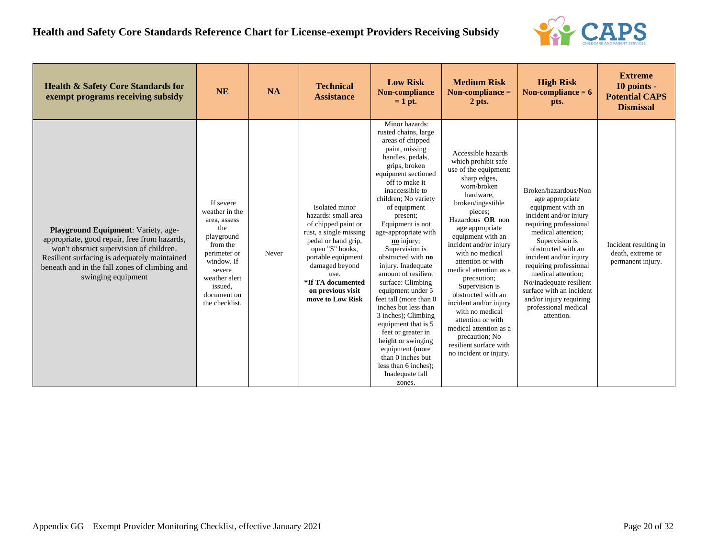

| <b>Health &amp; Safety Core Standards for</b><br>exempt programs receiving subsidy                                                                                                                                                                    | <b>NE</b>                                                                                                                                                                         | <b>NA</b> | <b>Technical</b><br><b>Assistance</b>                                                                                                                                                                                                          | <b>Low Risk</b><br>Non-compliance<br>$= 1$ pt.                                                                                                                                                                                                                                                                                                                                                                                                                                                                                                                                                                                                                      | <b>Medium Risk</b><br>Non-compliance $=$<br>$2$ pts.                                                                                                                                                                                                                                                                                                                                                                                                                                                                            | <b>High Risk</b><br>Non-compliance $= 6$<br>pts.                                                                                                                                                                                                                                                                                                                                 | <b>Extreme</b><br>10 points -<br><b>Potential CAPS</b><br><b>Dismissal</b> |
|-------------------------------------------------------------------------------------------------------------------------------------------------------------------------------------------------------------------------------------------------------|-----------------------------------------------------------------------------------------------------------------------------------------------------------------------------------|-----------|------------------------------------------------------------------------------------------------------------------------------------------------------------------------------------------------------------------------------------------------|---------------------------------------------------------------------------------------------------------------------------------------------------------------------------------------------------------------------------------------------------------------------------------------------------------------------------------------------------------------------------------------------------------------------------------------------------------------------------------------------------------------------------------------------------------------------------------------------------------------------------------------------------------------------|---------------------------------------------------------------------------------------------------------------------------------------------------------------------------------------------------------------------------------------------------------------------------------------------------------------------------------------------------------------------------------------------------------------------------------------------------------------------------------------------------------------------------------|----------------------------------------------------------------------------------------------------------------------------------------------------------------------------------------------------------------------------------------------------------------------------------------------------------------------------------------------------------------------------------|----------------------------------------------------------------------------|
| Playground Equipment: Variety, age-<br>appropriate, good repair, free from hazards,<br>won't obstruct supervision of children.<br>Resilient surfacing is adequately maintained<br>beneath and in the fall zones of climbing and<br>swinging equipment | If severe<br>weather in the<br>area, assess<br>the<br>playground<br>from the<br>perimeter or<br>window. If<br>severe<br>weather alert<br>issued.<br>document on<br>the checklist. | Never     | Isolated minor<br>hazards: small area<br>of chipped paint or<br>rust, a single missing<br>pedal or hand grip,<br>open "S" hooks,<br>portable equipment<br>damaged beyond<br>use.<br>*If TA documented<br>on previous visit<br>move to Low Risk | Minor hazards:<br>rusted chains, large<br>areas of chipped<br>paint, missing<br>handles, pedals,<br>grips, broken<br>equipment sectioned<br>off to make it<br>inaccessible to<br>children; No variety<br>of equipment<br>present;<br>Equipment is not<br>age-appropriate with<br>no injury;<br>Supervision is<br>obstructed with no<br>injury. Inadequate<br>amount of resilient<br>surface: Climbing<br>equipment under 5<br>feet tall (more than 0<br>inches but less than<br>3 inches); Climbing<br>equipment that is 5<br>feet or greater in<br>height or swinging<br>equipment (more<br>than 0 inches but<br>less than 6 inches);<br>Inadequate fall<br>zones. | Accessible hazards<br>which prohibit safe<br>use of the equipment:<br>sharp edges,<br>worn/broken<br>hardware.<br>broken/ingestible<br>pieces;<br>Hazardous OR non<br>age appropriate<br>equipment with an<br>incident and/or injury<br>with no medical<br>attention or with<br>medical attention as a<br>precaution;<br>Supervision is<br>obstructed with an<br>incident and/or injury<br>with no medical<br>attention or with<br>medical attention as a<br>precaution; No<br>resilient surface with<br>no incident or injury. | Broken/hazardous/Non<br>age appropriate<br>equipment with an<br>incident and/or injury<br>requiring professional<br>medical attention;<br>Supervision is<br>obstructed with an<br>incident and/or injury<br>requiring professional<br>medical attention;<br>No/inadequate resilient<br>surface with an incident<br>and/or injury requiring<br>professional medical<br>attention. | Incident resulting in<br>death, extreme or<br>permanent injury.            |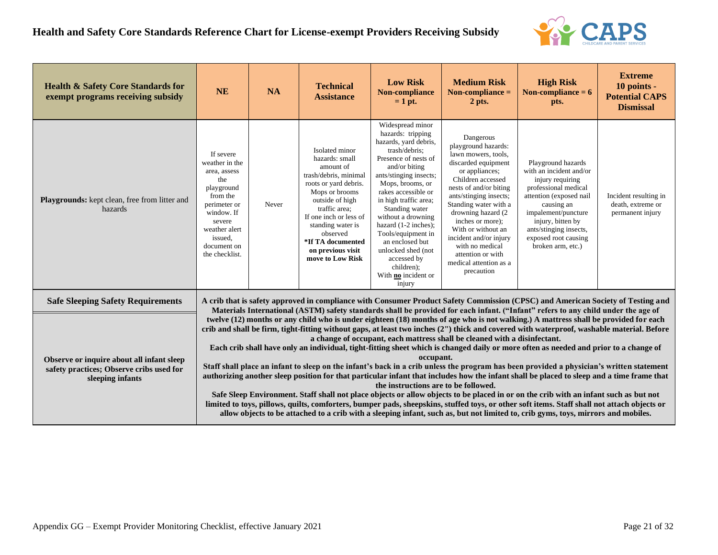

| <b>Health &amp; Safety Core Standards for</b><br>exempt programs receiving subsidy                        | <b>NE</b>                                                                                                                                                                         | <b>NA</b>                                                                                                                                                                                                                                                                                                                                                                                                                                                                                                                                                                                                                                                                                                                                                                                                                                                                                                                                                                                                                                                                                                                                                                                                                                                                                                                                                                                                                                                                                                                                               | <b>Technical</b><br><b>Assistance</b>                                                                                                                                                                                                                                          | <b>Low Risk</b><br>Non-compliance<br>$= 1$ pt.                                                                                                                                                                                                                                                                                                                                                                      | <b>Medium Risk</b><br>Non-compliance $=$<br>2 pts.                                                                                                                                                                                                                                                                                                                            | <b>High Risk</b><br>Non-compliance $= 6$<br>pts.                                                                                                                                                                                                      | <b>Extreme</b><br>10 points -<br><b>Potential CAPS</b><br><b>Dismissal</b> |  |  |  |
|-----------------------------------------------------------------------------------------------------------|-----------------------------------------------------------------------------------------------------------------------------------------------------------------------------------|---------------------------------------------------------------------------------------------------------------------------------------------------------------------------------------------------------------------------------------------------------------------------------------------------------------------------------------------------------------------------------------------------------------------------------------------------------------------------------------------------------------------------------------------------------------------------------------------------------------------------------------------------------------------------------------------------------------------------------------------------------------------------------------------------------------------------------------------------------------------------------------------------------------------------------------------------------------------------------------------------------------------------------------------------------------------------------------------------------------------------------------------------------------------------------------------------------------------------------------------------------------------------------------------------------------------------------------------------------------------------------------------------------------------------------------------------------------------------------------------------------------------------------------------------------|--------------------------------------------------------------------------------------------------------------------------------------------------------------------------------------------------------------------------------------------------------------------------------|---------------------------------------------------------------------------------------------------------------------------------------------------------------------------------------------------------------------------------------------------------------------------------------------------------------------------------------------------------------------------------------------------------------------|-------------------------------------------------------------------------------------------------------------------------------------------------------------------------------------------------------------------------------------------------------------------------------------------------------------------------------------------------------------------------------|-------------------------------------------------------------------------------------------------------------------------------------------------------------------------------------------------------------------------------------------------------|----------------------------------------------------------------------------|--|--|--|
| <b>Playgrounds:</b> kept clean, free from litter and<br>hazards                                           | If severe<br>weather in the<br>area, assess<br>the<br>playground<br>from the<br>perimeter or<br>window. If<br>severe<br>weather alert<br>issued.<br>document on<br>the checklist. | Never                                                                                                                                                                                                                                                                                                                                                                                                                                                                                                                                                                                                                                                                                                                                                                                                                                                                                                                                                                                                                                                                                                                                                                                                                                                                                                                                                                                                                                                                                                                                                   | Isolated minor<br>hazards: small<br>amount of<br>trash/debris, minimal<br>roots or yard debris.<br>Mops or brooms<br>outside of high<br>traffic area;<br>If one inch or less of<br>standing water is<br>observed<br>*If TA documented<br>on previous visit<br>move to Low Risk | Widespread minor<br>hazards: tripping<br>hazards, yard debris,<br>trash/debris;<br>Presence of nests of<br>and/or biting<br>ants/stinging insects;<br>Mops, brooms, or<br>rakes accessible or<br>in high traffic area;<br>Standing water<br>without a drowning<br>hazard (1-2 inches);<br>Tools/equipment in<br>an enclosed but<br>unlocked shed (not<br>accessed by<br>children);<br>With no incident or<br>injury | Dangerous<br>playground hazards:<br>lawn mowers, tools,<br>discarded equipment<br>or appliances;<br>Children accessed<br>nests of and/or biting<br>ants/stinging insects;<br>Standing water with a<br>drowning hazard (2)<br>inches or more):<br>With or without an<br>incident and/or injury<br>with no medical<br>attention or with<br>medical attention as a<br>precaution | Playground hazards<br>with an incident and/or<br>injury requiring<br>professional medical<br>attention (exposed nail<br>causing an<br>impalement/puncture<br>injury, bitten by<br>ants/stinging insects,<br>exposed root causing<br>broken arm, etc.) | Incident resulting in<br>death, extreme or<br>permanent injury             |  |  |  |
| <b>Safe Sleeping Safety Requirements</b>                                                                  |                                                                                                                                                                                   |                                                                                                                                                                                                                                                                                                                                                                                                                                                                                                                                                                                                                                                                                                                                                                                                                                                                                                                                                                                                                                                                                                                                                                                                                                                                                                                                                                                                                                                                                                                                                         |                                                                                                                                                                                                                                                                                |                                                                                                                                                                                                                                                                                                                                                                                                                     |                                                                                                                                                                                                                                                                                                                                                                               |                                                                                                                                                                                                                                                       |                                                                            |  |  |  |
| Observe or inquire about all infant sleep<br>safety practices; Observe cribs used for<br>sleeping infants |                                                                                                                                                                                   | A crib that is safety approved in compliance with Consumer Product Safety Commission (CPSC) and American Society of Testing and<br>Materials International (ASTM) safety standards shall be provided for each infant. ("Infant" refers to any child under the age of<br>twelve (12) months or any child who is under eighteen (18) months of age who is not walking.) A mattress shall be provided for each<br>crib and shall be firm, tight-fitting without gaps, at least two inches (2") thick and covered with waterproof, washable material. Before<br>a change of occupant, each mattress shall be cleaned with a disinfectant.<br>Each crib shall have only an individual, tight-fitting sheet which is changed daily or more often as needed and prior to a change of<br>occupant.<br>Staff shall place an infant to sleep on the infant's back in a crib unless the program has been provided a physician's written statement<br>authorizing another sleep position for that particular infant that includes how the infant shall be placed to sleep and a time frame that<br>the instructions are to be followed.<br>Safe Sleep Environment. Staff shall not place objects or allow objects to be placed in or on the crib with an infant such as but not<br>limited to toys, pillows, quilts, comforters, bumper pads, sheepskins, stuffed toys, or other soft items. Staff shall not attach objects or<br>allow objects to be attached to a crib with a sleeping infant, such as, but not limited to, crib gyms, toys, mirrors and mobiles. |                                                                                                                                                                                                                                                                                |                                                                                                                                                                                                                                                                                                                                                                                                                     |                                                                                                                                                                                                                                                                                                                                                                               |                                                                                                                                                                                                                                                       |                                                                            |  |  |  |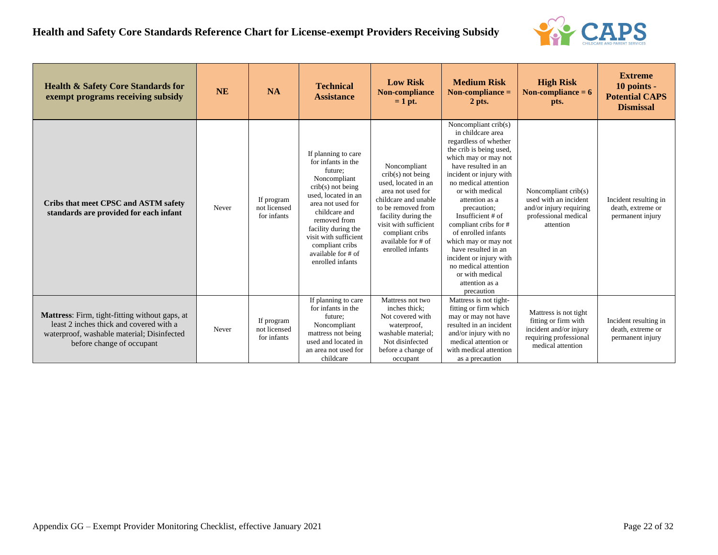

| <b>Health &amp; Safety Core Standards for</b><br>exempt programs receiving subsidy                                                                                          | <b>NE</b> | <b>NA</b>                                 | <b>Technical</b><br><b>Assistance</b>                                                                                                                                                                                                                                                 | <b>Low Risk</b><br><b>Non-compliance</b><br>$= 1$ pt.                                                                                                                                                                                      | <b>Medium Risk</b><br>Non-compliance $=$<br>$2$ pts.                                                                                                                                                                                                                                                                                                                                                                                                                            | <b>High Risk</b><br>Non-compliance $= 6$<br>pts.                                                                       | <b>Extreme</b><br>10 points -<br><b>Potential CAPS</b><br><b>Dismissal</b> |
|-----------------------------------------------------------------------------------------------------------------------------------------------------------------------------|-----------|-------------------------------------------|---------------------------------------------------------------------------------------------------------------------------------------------------------------------------------------------------------------------------------------------------------------------------------------|--------------------------------------------------------------------------------------------------------------------------------------------------------------------------------------------------------------------------------------------|---------------------------------------------------------------------------------------------------------------------------------------------------------------------------------------------------------------------------------------------------------------------------------------------------------------------------------------------------------------------------------------------------------------------------------------------------------------------------------|------------------------------------------------------------------------------------------------------------------------|----------------------------------------------------------------------------|
| Cribs that meet CPSC and ASTM safety<br>standards are provided for each infant                                                                                              | Never     | If program<br>not licensed<br>for infants | If planning to care<br>for infants in the<br>future:<br>Noncompliant<br>$crib(s)$ not being<br>used, located in an<br>area not used for<br>childcare and<br>removed from<br>facility during the<br>visit with sufficient<br>compliant cribs<br>available for # of<br>enrolled infants | Noncompliant<br>$crib(s)$ not being<br>used. located in an<br>area not used for<br>childcare and unable<br>to be removed from<br>facility during the<br>visit with sufficient<br>compliant cribs<br>available for # of<br>enrolled infants | Noncompliant $crib(s)$<br>in childcare area<br>regardless of whether<br>the crib is being used,<br>which may or may not<br>have resulted in an<br>incident or injury with<br>no medical attention<br>or with medical<br>attention as a<br>precaution;<br>Insufficient # of<br>compliant cribs for #<br>of enrolled infants<br>which may or may not<br>have resulted in an<br>incident or injury with<br>no medical attention<br>or with medical<br>attention as a<br>precaution | Noncompliant crib(s)<br>used with an incident<br>and/or injury requiring<br>professional medical<br>attention          | Incident resulting in<br>death, extreme or<br>permanent injury             |
| <b>Mattress:</b> Firm, tight-fitting without gaps, at<br>least 2 inches thick and covered with a<br>waterproof, washable material; Disinfected<br>before change of occupant | Never     | If program<br>not licensed<br>for infants | If planning to care<br>for infants in the<br>future:<br>Noncompliant<br>mattress not being<br>used and located in<br>an area not used for<br>childcare                                                                                                                                | Mattress not two<br>inches thick:<br>Not covered with<br>waterproof,<br>washable material:<br>Not disinfected<br>before a change of<br>occupant                                                                                            | Mattress is not tight-<br>fitting or firm which<br>may or may not have<br>resulted in an incident<br>and/or injury with no<br>medical attention or<br>with medical attention<br>as a precaution                                                                                                                                                                                                                                                                                 | Mattress is not tight<br>fitting or firm with<br>incident and/or injury<br>requiring professional<br>medical attention | Incident resulting in<br>death, extreme or<br>permanent injury             |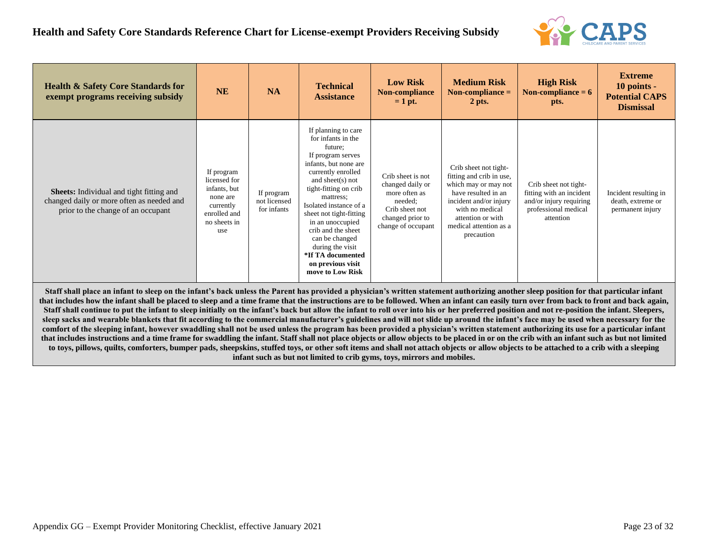

| <b>Health &amp; Safety Core Standards for</b><br>exempt programs receiving subsidy                                                                                                                                                                                                                                                                                                | <b>NE</b>                                                                                                  | <b>NA</b>                                 | <b>Technical</b><br><b>Assistance</b>                                                                                                                                                                                                                                                                                                                                                 | <b>Low Risk</b><br>Non-compliance<br>$= 1$ pt.                                                                                | <b>Medium Risk</b><br>Non-compliance $=$<br>$2$ pts.                                                                                                                                                       | <b>High Risk</b><br>Non-compliance $= 6$<br>pts.                                                                  | <b>Extreme</b><br>$10$ points -<br><b>Potential CAPS</b><br><b>Dismissal</b> |
|-----------------------------------------------------------------------------------------------------------------------------------------------------------------------------------------------------------------------------------------------------------------------------------------------------------------------------------------------------------------------------------|------------------------------------------------------------------------------------------------------------|-------------------------------------------|---------------------------------------------------------------------------------------------------------------------------------------------------------------------------------------------------------------------------------------------------------------------------------------------------------------------------------------------------------------------------------------|-------------------------------------------------------------------------------------------------------------------------------|------------------------------------------------------------------------------------------------------------------------------------------------------------------------------------------------------------|-------------------------------------------------------------------------------------------------------------------|------------------------------------------------------------------------------|
| <b>Sheets:</b> Individual and tight fitting and<br>changed daily or more often as needed and<br>prior to the change of an occupant                                                                                                                                                                                                                                                | If program<br>licensed for<br>infants, but<br>none are<br>currently<br>enrolled and<br>no sheets in<br>use | If program<br>not licensed<br>for infants | If planning to care<br>for infants in the<br>future:<br>If program serves<br>infants, but none are<br>currently enrolled<br>and sheet(s) not<br>tight-fitting on crib<br>mattress:<br>Isolated instance of a<br>sheet not tight-fitting<br>in an unoccupied<br>crib and the sheet<br>can be changed<br>during the visit<br>*If TA documented<br>on previous visit<br>move to Low Risk | Crib sheet is not<br>changed daily or<br>more often as<br>needed:<br>Crib sheet not<br>changed prior to<br>change of occupant | Crib sheet not tight-<br>fitting and crib in use,<br>which may or may not<br>have resulted in an<br>incident and/or injury<br>with no medical<br>attention or with<br>medical attention as a<br>precaution | Crib sheet not tight-<br>fitting with an incident<br>and/or injury requiring<br>professional medical<br>attention | Incident resulting in<br>death, extreme or<br>permanent injury               |
| Staff shall place an infant to sleep on the infant's back unless the Parent has provided a physician's written statement authorizing another sleep position for that particular infant<br>that includes how the infant shall be placed to sleep and a time frame that the instructions are to be followed. When an infant can easily turn over from back to front and back again, |                                                                                                            |                                           |                                                                                                                                                                                                                                                                                                                                                                                       |                                                                                                                               |                                                                                                                                                                                                            |                                                                                                                   |                                                                              |

**Staff shall continue to put the infant to sleep initially on the infant's back but allow the infant to roll over into his or her preferred position and not re-position the infant. Sleepers, sleep sacks and wearable blankets that fit according to the commercial manufacturer's guidelines and will not slide up around the infant's face may be used when necessary for the comfort of the sleeping infant, however swaddling shall not be used unless the program has been provided a physician's written statement authorizing its use for a particular infant that includes instructions and a time frame for swaddling the infant. Staff shall not place objects or allow objects to be placed in or on the crib with an infant such as but not limited to toys, pillows, quilts, comforters, bumper pads, sheepskins, stuffed toys, or other soft items and shall not attach objects or allow objects to be attached to a crib with a sleeping infant such as but not limited to crib gyms, toys, mirrors and mobiles.**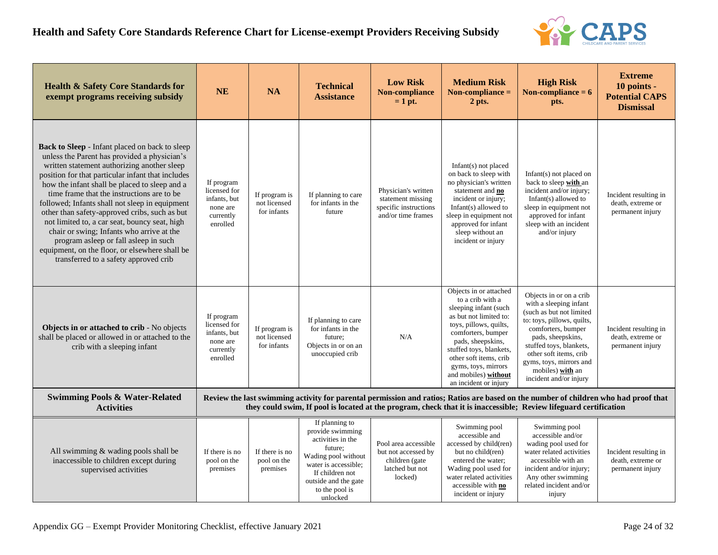

| <b>Health &amp; Safety Core Standards for</b><br>exempt programs receiving subsidy                                                                                                                                                                                                                                                                                                                                                                                                                                                                                                                                                            | <b>NE</b>                                                                       | <b>NA</b>                                    | <b>Technical</b><br><b>Assistance</b>                                                                                                                                                      | <b>Low Risk</b><br>Non-compliance<br>$= 1$ pt.                                              | <b>Medium Risk</b><br>Non-compliance $=$<br>2 pts.                                                                                                                                                                                                                                              | <b>High Risk</b><br>Non-compliance $= 6$<br>pts.                                                                                                                                                                                                                                     | <b>Extreme</b><br>10 points -<br><b>Potential CAPS</b><br><b>Dismissal</b> |
|-----------------------------------------------------------------------------------------------------------------------------------------------------------------------------------------------------------------------------------------------------------------------------------------------------------------------------------------------------------------------------------------------------------------------------------------------------------------------------------------------------------------------------------------------------------------------------------------------------------------------------------------------|---------------------------------------------------------------------------------|----------------------------------------------|--------------------------------------------------------------------------------------------------------------------------------------------------------------------------------------------|---------------------------------------------------------------------------------------------|-------------------------------------------------------------------------------------------------------------------------------------------------------------------------------------------------------------------------------------------------------------------------------------------------|--------------------------------------------------------------------------------------------------------------------------------------------------------------------------------------------------------------------------------------------------------------------------------------|----------------------------------------------------------------------------|
| <b>Back to Sleep - Infant placed on back to sleep</b><br>unless the Parent has provided a physician's<br>written statement authorizing another sleep<br>position for that particular infant that includes<br>how the infant shall be placed to sleep and a<br>time frame that the instructions are to be<br>followed; Infants shall not sleep in equipment<br>other than safety-approved cribs, such as but<br>not limited to, a car seat, bouncy seat, high<br>chair or swing; Infants who arrive at the<br>program asleep or fall asleep in such<br>equipment, on the floor, or elsewhere shall be<br>transferred to a safety approved crib | If program<br>licensed for<br>infants, but<br>none are<br>currently<br>enrolled | If program is<br>not licensed<br>for infants | If planning to care<br>for infants in the<br>future                                                                                                                                        | Physician's written<br>statement missing<br>specific instructions<br>and/or time frames     | Infant $(s)$ not placed<br>on back to sleep with<br>no physician's written<br>statement and no<br>incident or injury;<br>Infant $(s)$ allowed to<br>sleep in equipment not<br>approved for infant<br>sleep without an<br>incident or injury                                                     | Infant $(s)$ not placed on<br>back to sleep with an<br>incident and/or injury;<br>Infant $(s)$ allowed to<br>sleep in equipment not<br>approved for infant<br>sleep with an incident<br>and/or injury                                                                                | Incident resulting in<br>death, extreme or<br>permanent injury             |
| Objects in or attached to crib - No objects<br>shall be placed or allowed in or attached to the<br>crib with a sleeping infant                                                                                                                                                                                                                                                                                                                                                                                                                                                                                                                | If program<br>licensed for<br>infants, but<br>none are<br>currently<br>enrolled | If program is<br>not licensed<br>for infants | If planning to care<br>for infants in the<br>future:<br>Objects in or on an<br>unoccupied crib                                                                                             | N/A                                                                                         | Objects in or attached<br>to a crib with a<br>sleeping infant (such<br>as but not limited to:<br>toys, pillows, quilts,<br>comforters, bumper<br>pads, sheepskins,<br>stuffed toys, blankets,<br>other soft items, crib<br>gyms, toys, mirrors<br>and mobiles) without<br>an incident or injury | Objects in or on a crib<br>with a sleeping infant<br>(such as but not limited<br>to: toys, pillows, quilts,<br>comforters, bumper<br>pads, sheepskins,<br>stuffed toys, blankets,<br>other soft items, crib<br>gyms, toys, mirrors and<br>mobiles) with an<br>incident and/or injury | Incident resulting in<br>death, extreme or<br>permanent injury             |
| <b>Swimming Pools &amp; Water-Related</b><br><b>Activities</b>                                                                                                                                                                                                                                                                                                                                                                                                                                                                                                                                                                                |                                                                                 |                                              |                                                                                                                                                                                            |                                                                                             |                                                                                                                                                                                                                                                                                                 | Review the last swimming activity for parental permission and ratios; Ratios are based on the number of children who had proof that<br>they could swim, If pool is located at the program, check that it is inaccessible; Review lifeguard certification                             |                                                                            |
| All swimming & wading pools shall be<br>inaccessible to children except during<br>supervised activities                                                                                                                                                                                                                                                                                                                                                                                                                                                                                                                                       | If there is no<br>pool on the<br>premises                                       | If there is no<br>pool on the<br>premises    | If planning to<br>provide swimming<br>activities in the<br>future;<br>Wading pool without<br>water is accessible:<br>If children not<br>outside and the gate<br>to the pool is<br>unlocked | Pool area accessible<br>but not accessed by<br>children (gate<br>latched but not<br>locked) | Swimming pool<br>accessible and<br>accessed by child(ren)<br>but no child(ren)<br>entered the water;<br>Wading pool used for<br>water related activities<br>accessible with no<br>incident or injury                                                                                            | Swimming pool<br>accessible and/or<br>wading pool used for<br>water related activities<br>accessible with an<br>incident and/or injury;<br>Any other swimming<br>related incident and/or<br>injury                                                                                   | Incident resulting in<br>death, extreme or<br>permanent injury             |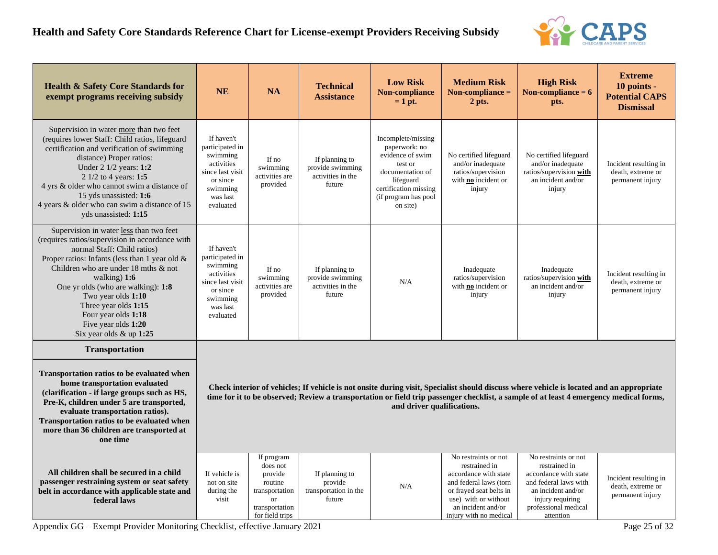

| <b>Health &amp; Safety Core Standards for</b><br>exempt programs receiving subsidy                                                                                                                                                                                                                                                                                                                 | <b>NE</b>                                                                                                                                                                                                                                                                                                        | <b>NA</b>                                                                                                        | <b>Technical</b><br><b>Assistance</b>                                | <b>Low Risk</b><br>Non-compliance<br>$= 1$ pt.                                                                                                                   | <b>Medium Risk</b><br>Non-compliance $=$<br>2 pts.                                                                                                                                          | <b>High Risk</b><br>Non-compliance $= 6$<br>pts.                                                                                                                       | <b>Extreme</b><br>10 points -<br><b>Potential CAPS</b><br><b>Dismissal</b> |  |
|----------------------------------------------------------------------------------------------------------------------------------------------------------------------------------------------------------------------------------------------------------------------------------------------------------------------------------------------------------------------------------------------------|------------------------------------------------------------------------------------------------------------------------------------------------------------------------------------------------------------------------------------------------------------------------------------------------------------------|------------------------------------------------------------------------------------------------------------------|----------------------------------------------------------------------|------------------------------------------------------------------------------------------------------------------------------------------------------------------|---------------------------------------------------------------------------------------------------------------------------------------------------------------------------------------------|------------------------------------------------------------------------------------------------------------------------------------------------------------------------|----------------------------------------------------------------------------|--|
| Supervision in water more than two feet<br>(requires lower Staff: Child ratios, lifeguard<br>certification and verification of swimming<br>distance) Proper ratios:<br>Under $2 \frac{1}{2}$ years: 1:2<br>2 1/2 to 4 years: 1:5<br>4 yrs & older who cannot swim a distance of<br>15 yds unassisted: 1:6<br>4 years & older who can swim a distance of 15<br>yds unassisted: 1:15                 | If haven't<br>participated in<br>swimming<br>activities<br>since last visit<br>or since<br>swimming<br>was last<br>evaluated                                                                                                                                                                                     | If no<br>swimming<br>activities are<br>provided                                                                  | If planning to<br>provide swimming<br>activities in the<br>future    | Incomplete/missing<br>paperwork: no<br>evidence of swim<br>test or<br>documentation of<br>lifeguard<br>certification missing<br>(if program has pool<br>on site) | No certified lifeguard<br>and/or inadequate<br>ratios/supervision<br>with no incident or<br>injury                                                                                          | No certified lifeguard<br>and/or inadequate<br>ratios/supervision with<br>an incident and/or<br>injury                                                                 | Incident resulting in<br>death, extreme or<br>permanent injury             |  |
| Supervision in water less than two feet<br>(requires ratios/supervision in accordance with<br>normal Staff: Child ratios)<br>Proper ratios: Infants (less than 1 year old &<br>Children who are under 18 mths & not<br>walking) $1:6$<br>One yr olds (who are walking): 1:8<br>Two year olds 1:10<br>Three year olds 1:15<br>Four year olds 1:18<br>Five year olds 1:20<br>Six year olds & up 1:25 | If haven't<br>participated in<br>swimming<br>activities<br>since last visit<br>or since<br>swimming<br>was last<br>evaluated                                                                                                                                                                                     | If no<br>swimming<br>activities are<br>provided                                                                  | If planning to<br>provide swimming<br>activities in the<br>future    | N/A                                                                                                                                                              | Inadequate<br>ratios/supervision<br>with no incident or<br>injury                                                                                                                           | Inadequate<br>ratios/supervision with<br>an incident and/or<br>injury                                                                                                  | Incident resulting in<br>death, extreme or<br>permanent injury             |  |
| <b>Transportation</b><br>Transportation ratios to be evaluated when<br>home transportation evaluated<br>(clarification - if large groups such as HS,<br>Pre-K, children under 5 are transported,<br>evaluate transportation ratios).<br>Transportation ratios to be evaluated when<br>more than 36 children are transported at<br>one time                                                         | Check interior of vehicles; If vehicle is not onsite during visit, Specialist should discuss where vehicle is located and an appropriate<br>time for it to be observed; Review a transportation or field trip passenger checklist, a sample of at least 4 emergency medical forms,<br>and driver qualifications. |                                                                                                                  |                                                                      |                                                                                                                                                                  |                                                                                                                                                                                             |                                                                                                                                                                        |                                                                            |  |
| All children shall be secured in a child<br>passenger restraining system or seat safety<br>belt in accordance with applicable state and<br>federal laws                                                                                                                                                                                                                                            | If vehicle is<br>not on site<br>during the<br>visit<br>$\sim$ $\sim$                                                                                                                                                                                                                                             | If program<br>does not<br>provide<br>routine<br>transportation<br><b>or</b><br>transportation<br>for field trips | If planning to<br>provide<br>transportation in the<br>future<br>---- | N/A                                                                                                                                                              | No restraints or not<br>restrained in<br>accordance with state<br>and federal laws (torn<br>or frayed seat belts in<br>use) with or without<br>an incident and/or<br>injury with no medical | No restraints or not<br>restrained in<br>accordance with state<br>and federal laws with<br>an incident and/or<br>injury requiring<br>professional medical<br>attention | Incident resulting in<br>death, extreme or<br>permanent injury<br>$   -$   |  |

Appendix GG – Exempt Provider Monitoring Checklist, effective January 2021 Page 25 of 32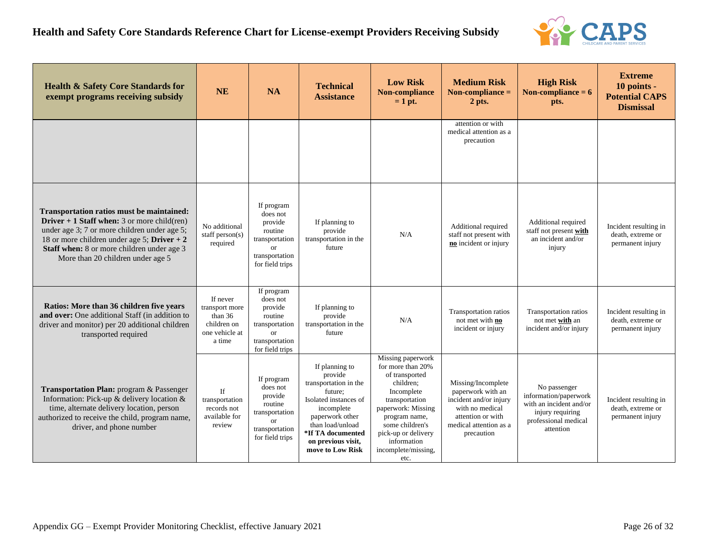

| <b>Health &amp; Safety Core Standards for</b><br>exempt programs receiving subsidy                                                                                                                                                                                           | <b>NE</b>                                                                          | <b>NA</b>                                                                                                        | <b>Technical</b><br><b>Assistance</b>                                                                                                                                                                      | <b>Low Risk</b><br>Non-compliance<br>$= 1$ pt.                                                                                                                                                                                       | <b>Medium Risk</b><br>Non-compliance $=$<br>2 pts.                                                                                                | <b>High Risk</b><br>Non-compliance $= 6$<br>pts.                                                                          | <b>Extreme</b><br>10 points -<br><b>Potential CAPS</b><br><b>Dismissal</b> |
|------------------------------------------------------------------------------------------------------------------------------------------------------------------------------------------------------------------------------------------------------------------------------|------------------------------------------------------------------------------------|------------------------------------------------------------------------------------------------------------------|------------------------------------------------------------------------------------------------------------------------------------------------------------------------------------------------------------|--------------------------------------------------------------------------------------------------------------------------------------------------------------------------------------------------------------------------------------|---------------------------------------------------------------------------------------------------------------------------------------------------|---------------------------------------------------------------------------------------------------------------------------|----------------------------------------------------------------------------|
|                                                                                                                                                                                                                                                                              |                                                                                    |                                                                                                                  |                                                                                                                                                                                                            |                                                                                                                                                                                                                                      | attention or with<br>medical attention as a<br>precaution                                                                                         |                                                                                                                           |                                                                            |
| Transportation ratios must be maintained:<br>Driver $+1$ Staff when: 3 or more child(ren)<br>under age 3; 7 or more children under age 5;<br>18 or more children under age 5; Driver $+2$<br>Staff when: 8 or more children under age 3<br>More than 20 children under age 5 | No additional<br>staff person $(s)$<br>required                                    | If program<br>does not<br>provide<br>routine<br>transportation<br><b>or</b><br>transportation<br>for field trips | If planning to<br>provide<br>transportation in the<br>future                                                                                                                                               | N/A                                                                                                                                                                                                                                  | Additional required<br>staff not present with<br>no incident or injury                                                                            | Additional required<br>staff not present with<br>an incident and/or<br>injury                                             | Incident resulting in<br>death, extreme or<br>permanent injury             |
| Ratios: More than 36 children five years<br>and over: One additional Staff (in addition to<br>driver and monitor) per 20 additional children<br>transported required                                                                                                         | If never<br>transport more<br>than $36$<br>children on<br>one vehicle at<br>a time | If program<br>does not<br>provide<br>routine<br>transportation<br><b>or</b><br>transportation<br>for field trips | If planning to<br>provide<br>transportation in the<br>future                                                                                                                                               | N/A                                                                                                                                                                                                                                  | Transportation ratios<br>not met with no<br>incident or injury                                                                                    | Transportation ratios<br>not met with an<br>incident and/or injury                                                        | Incident resulting in<br>death, extreme or<br>permanent injury             |
| Transportation Plan: program & Passenger<br>Information: Pick-up & delivery location &<br>time, alternate delivery location, person<br>authorized to receive the child, program name,<br>driver, and phone number                                                            | <b>If</b><br>transportation<br>records not<br>available for<br>review              | If program<br>does not<br>provide<br>routine<br>transportation<br><b>or</b><br>transportation<br>for field trips | If planning to<br>provide<br>transportation in the<br>future:<br>Isolated instances of<br>incomplete<br>paperwork other<br>than load/unload<br>*If TA documented<br>on previous visit,<br>move to Low Risk | Missing paperwork<br>for more than 20%<br>of transported<br>children;<br>Incomplete<br>transportation<br>paperwork: Missing<br>program name,<br>some children's<br>pick-up or delivery<br>information<br>incomplete/missing,<br>etc. | Missing/Incomplete<br>paperwork with an<br>incident and/or injury<br>with no medical<br>attention or with<br>medical attention as a<br>precaution | No passenger<br>information/paperwork<br>with an incident and/or<br>injury requiring<br>professional medical<br>attention | Incident resulting in<br>death, extreme or<br>permanent injury             |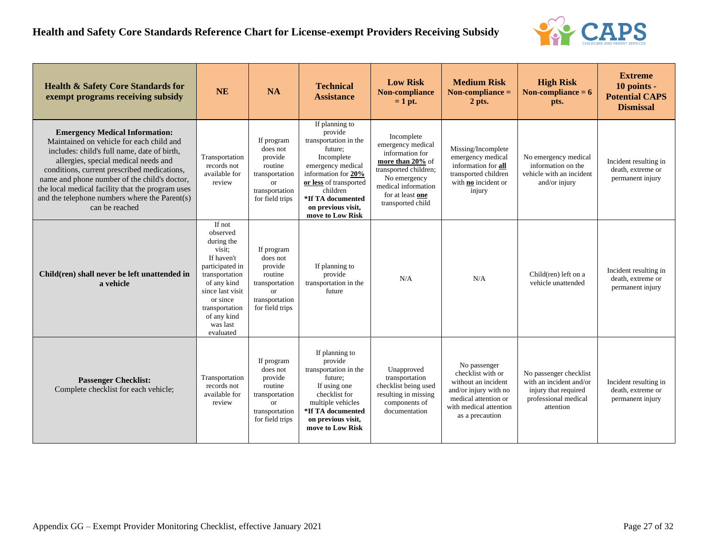

| <b>Health &amp; Safety Core Standards for</b><br>exempt programs receiving subsidy                                                                                                                                                                                                                                                                                                             | <b>NE</b>                                                                                                                                                                                              | <b>NA</b>                                                                                                            | <b>Technical</b><br><b>Assistance</b>                                                                                                                                                                                        | <b>Low Risk</b><br>Non-compliance<br>$= 1$ pt.                                                                                                                                  | <b>Medium Risk</b><br>Non-compliance $=$<br>2 pts.                                                                                                     | <b>High Risk</b><br>Non-compliance $= 6$<br>pts.                                                               | <b>Extreme</b><br>10 points -<br><b>Potential CAPS</b><br><b>Dismissal</b> |
|------------------------------------------------------------------------------------------------------------------------------------------------------------------------------------------------------------------------------------------------------------------------------------------------------------------------------------------------------------------------------------------------|--------------------------------------------------------------------------------------------------------------------------------------------------------------------------------------------------------|----------------------------------------------------------------------------------------------------------------------|------------------------------------------------------------------------------------------------------------------------------------------------------------------------------------------------------------------------------|---------------------------------------------------------------------------------------------------------------------------------------------------------------------------------|--------------------------------------------------------------------------------------------------------------------------------------------------------|----------------------------------------------------------------------------------------------------------------|----------------------------------------------------------------------------|
| <b>Emergency Medical Information:</b><br>Maintained on vehicle for each child and<br>includes: child's full name, date of birth,<br>allergies, special medical needs and<br>conditions, current prescribed medications,<br>name and phone number of the child's doctor,<br>the local medical facility that the program uses<br>and the telephone numbers where the Parent(s)<br>can be reached | Transportation<br>records not<br>available for<br>review                                                                                                                                               | If program<br>does not<br>provide<br>routine<br>transportation<br><sub>or</sub><br>transportation<br>for field trips | If planning to<br>provide<br>transportation in the<br>future:<br>Incomplete<br>emergency medical<br>information for 20%<br>or less of transported<br>children<br>*If TA documented<br>on previous visit,<br>move to Low Risk | Incomplete<br>emergency medical<br>information for<br>more than 20% of<br>transported children;<br>No emergency<br>medical information<br>for at least one<br>transported child | Missing/Incomplete<br>emergency medical<br>information for all<br>transported children<br>with <b>no</b> incident or<br>injury                         | No emergency medical<br>information on the<br>vehicle with an incident<br>and/or injury                        | Incident resulting in<br>death, extreme or<br>permanent injury             |
| Child(ren) shall never be left unattended in<br>a vehicle                                                                                                                                                                                                                                                                                                                                      | If not<br>observed<br>during the<br>visit;<br>If haven't<br>participated in<br>transportation<br>of any kind<br>since last visit<br>or since<br>transportation<br>of any kind<br>was last<br>evaluated | If program<br>does not<br>provide<br>routine<br>transportation<br>$\alpha$ r<br>transportation<br>for field trips    | If planning to<br>provide<br>transportation in the<br>future                                                                                                                                                                 | N/A                                                                                                                                                                             | N/A                                                                                                                                                    | Child(ren) left on a<br>vehicle unattended                                                                     | Incident resulting in<br>death, extreme or<br>permanent injury             |
| <b>Passenger Checklist:</b><br>Complete checklist for each vehicle;                                                                                                                                                                                                                                                                                                                            | Transportation<br>records not<br>available for<br>review                                                                                                                                               | If program<br>does not<br>provide<br>routine<br>transportation<br>$\alpha$ r<br>transportation<br>for field trips    | If planning to<br>provide<br>transportation in the<br>future:<br>If using one<br>checklist for<br>multiple vehicles<br>*If TA documented<br>on previous visit,<br>move to Low Risk                                           | Unapproved<br>transportation<br>checklist being used<br>resulting in missing<br>components of<br>documentation                                                                  | No passenger<br>checklist with or<br>without an incident<br>and/or injury with no<br>medical attention or<br>with medical attention<br>as a precaution | No passenger checklist<br>with an incident and/or<br>injury that required<br>professional medical<br>attention | Incident resulting in<br>death, extreme or<br>permanent injury             |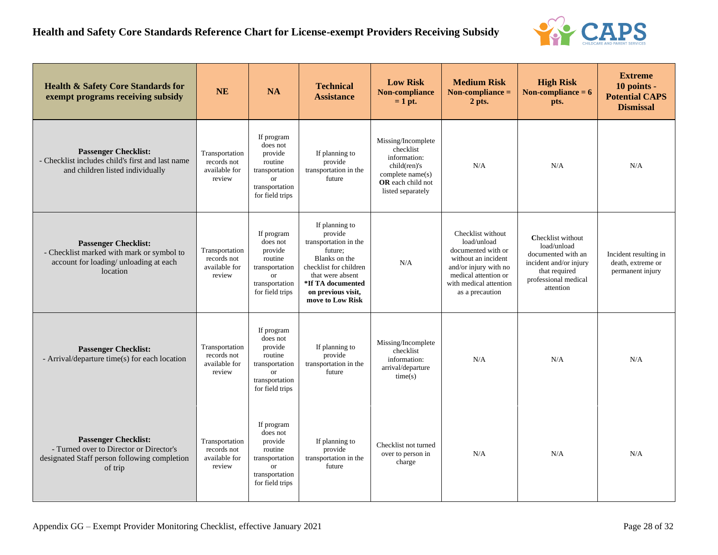

| <b>Health &amp; Safety Core Standards for</b><br>exempt programs receiving subsidy                                                | <b>NE</b>                                                | <b>NA</b>                                                                                                        | <b>Technical</b><br><b>Assistance</b>                                                                                                                                                       | <b>Low Risk</b><br>Non-compliance<br>$= 1$ pt.                                                                                | <b>Medium Risk</b><br>Non-compliance $=$<br>2 pts.                                                                                                                          | <b>High Risk</b><br>Non-compliance $= 6$<br>pts.                                                                                       | <b>Extreme</b><br>10 points -<br><b>Potential CAPS</b><br><b>Dismissal</b> |
|-----------------------------------------------------------------------------------------------------------------------------------|----------------------------------------------------------|------------------------------------------------------------------------------------------------------------------|---------------------------------------------------------------------------------------------------------------------------------------------------------------------------------------------|-------------------------------------------------------------------------------------------------------------------------------|-----------------------------------------------------------------------------------------------------------------------------------------------------------------------------|----------------------------------------------------------------------------------------------------------------------------------------|----------------------------------------------------------------------------|
| <b>Passenger Checklist:</b><br>- Checklist includes child's first and last name<br>and children listed individually               | Transportation<br>records not<br>available for<br>review | If program<br>does not<br>provide<br>routine<br>transportation<br><b>or</b><br>transportation<br>for field trips | If planning to<br>provide<br>transportation in the<br>future                                                                                                                                | Missing/Incomplete<br>checklist<br>information:<br>child(ren)'s<br>complete name(s)<br>OR each child not<br>listed separately | N/A                                                                                                                                                                         | N/A                                                                                                                                    | N/A                                                                        |
| <b>Passenger Checklist:</b><br>- Checklist marked with mark or symbol to<br>account for loading/ unloading at each<br>location    | Transportation<br>records not<br>available for<br>review | If program<br>does not<br>provide<br>routine<br>transportation<br><b>or</b><br>transportation<br>for field trips | If planning to<br>provide<br>transportation in the<br>future;<br>Blanks on the<br>checklist for children<br>that were absent<br>*If TA documented<br>on previous visit,<br>move to Low Risk | N/A                                                                                                                           | Checklist without<br>load/unload<br>documented with or<br>without an incident<br>and/or injury with no<br>medical attention or<br>with medical attention<br>as a precaution | Checklist without<br>load/unload<br>documented with an<br>incident and/or injury<br>that required<br>professional medical<br>attention | Incident resulting in<br>death, extreme or<br>permanent injury             |
| <b>Passenger Checklist:</b><br>- Arrival/departure time(s) for each location                                                      | Transportation<br>records not<br>available for<br>review | If program<br>does not<br>provide<br>routine<br>transportation<br><b>or</b><br>transportation<br>for field trips | If planning to<br>provide<br>transportation in the<br>future                                                                                                                                | Missing/Incomplete<br>checklist<br>information:<br>arrival/departure<br>time(s)                                               | N/A                                                                                                                                                                         | N/A                                                                                                                                    | N/A                                                                        |
| <b>Passenger Checklist:</b><br>- Turned over to Director or Director's<br>designated Staff person following completion<br>of trip | Transportation<br>records not<br>available for<br>review | If program<br>does not<br>provide<br>routine<br>transportation<br><b>or</b><br>transportation<br>for field trips | If planning to<br>provide<br>transportation in the<br>future                                                                                                                                | Checklist not turned<br>over to person in<br>charge                                                                           | N/A                                                                                                                                                                         | N/A                                                                                                                                    | N/A                                                                        |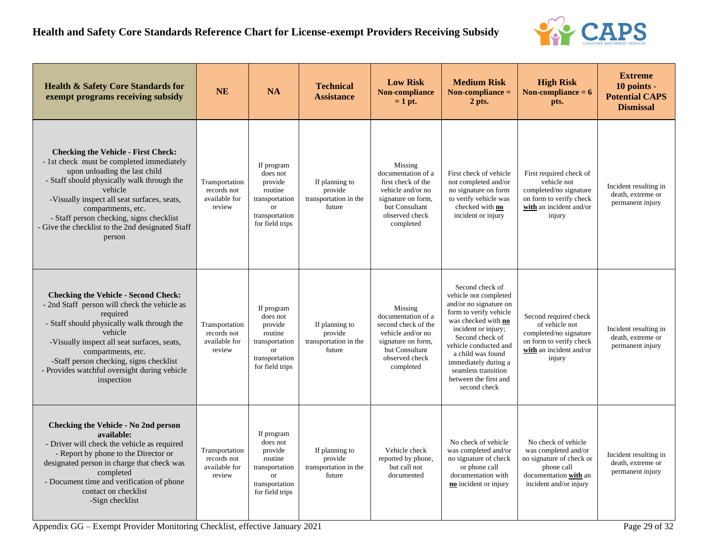

| <b>Health &amp; Safety Core Standards for</b><br>exempt programs receiving subsidy                                                                                                                                                                                                                                                                               | <b>NE</b>                                                | <b>NA</b>                                                                                                        | <b>Technical</b><br><b>Assistance</b>                        | <b>Low Risk</b><br><b>Non-compliance</b><br>$= 1$ pt.                                                                                            | <b>Medium Risk</b><br>Non-compliance $=$<br>2 pts.                                                                                                                                                                                                                                                  | <b>High Risk</b><br>Non-compliance $= 6$<br>pts.                                                                                         | <b>Extreme</b><br>10 points -<br><b>Potential CAPS</b><br><b>Dismissal</b> |
|------------------------------------------------------------------------------------------------------------------------------------------------------------------------------------------------------------------------------------------------------------------------------------------------------------------------------------------------------------------|----------------------------------------------------------|------------------------------------------------------------------------------------------------------------------|--------------------------------------------------------------|--------------------------------------------------------------------------------------------------------------------------------------------------|-----------------------------------------------------------------------------------------------------------------------------------------------------------------------------------------------------------------------------------------------------------------------------------------------------|------------------------------------------------------------------------------------------------------------------------------------------|----------------------------------------------------------------------------|
| <b>Checking the Vehicle - First Check:</b><br>- 1st check must be completed immediately<br>upon unloading the last child<br>- Staff should physically walk through the<br>vehicle<br>-Visually inspect all seat surfaces, seats,<br>compartments, etc.<br>- Staff person checking, signs checklist<br>- Give the checklist to the 2nd designated Staff<br>person | Transportation<br>records not<br>available for<br>review | If program<br>does not<br>provide<br>routine<br>transportation<br><b>or</b><br>transportation<br>for field trips | If planning to<br>provide<br>transportation in the<br>future | Missing<br>documentation of a<br>first check of the<br>vehicle and/or no<br>signature on form,<br>but Consultant<br>observed check<br>completed  | First check of vehicle<br>not completed and/or<br>no signature on form<br>to verify vehicle was<br>checked with no<br>incident or injury                                                                                                                                                            | First required check of<br>vehicle not<br>completed/no signature<br>on form to verify check<br>with an incident and/or<br>injury         | Incident resulting in<br>death, extreme or<br>permanent injury             |
| <b>Checking the Vehicle - Second Check:</b><br>- 2nd Staff person will check the vehicle as<br>required<br>- Staff should physically walk through the<br>vehicle<br>-Visually inspect all seat surfaces, seats,<br>compartments, etc.<br>-Staff person checking, signs checklist<br>- Provides watchful oversight during vehicle<br>inspection                   | Transportation<br>records not<br>available for<br>review | If program<br>does not<br>provide<br>routine<br>transportation<br>$\alpha$<br>transportation<br>for field trips  | If planning to<br>provide<br>transportation in the<br>future | Missing<br>documentation of a<br>second check of the<br>vehicle and/or no<br>signature on form,<br>but Consultant<br>observed check<br>completed | Second check of<br>vehicle not completed<br>and/or no signature on<br>form to verify vehicle<br>was checked with no<br>incident or injury;<br>Second check of<br>vehicle conducted and<br>a child was found<br>immediately during a<br>seamless transition<br>between the first and<br>second check | Second required check<br>of vehicle not<br>completed/no signature<br>on form to verify check<br>with an incident and/or<br>injury        | Incident resulting in<br>death, extreme or<br>permanent injury             |
| Checking the Vehicle - No 2nd person<br>available:<br>- Driver will check the vehicle as required<br>- Report by phone to the Director or<br>designated person in charge that check was<br>completed<br>- Document time and verification of phone<br>contact on checklist<br>-Sign checklist                                                                     | Transportation<br>records not<br>available for<br>review | If program<br>does not<br>provide<br>routine<br>transportation<br><b>or</b><br>transportation<br>for field trips | If planning to<br>provide<br>transportation in the<br>future | Vehicle check<br>reported by phone,<br>but call not<br>documented                                                                                | No check of vehicle<br>was completed and/or<br>no signature of check<br>or phone call<br>documentation with<br>no incident or injury                                                                                                                                                                | No check of vehicle<br>was completed and/or<br>no signature of check or<br>phone call<br>documentation with an<br>incident and/or injury | Incident resulting in<br>death, extreme or<br>permanent injury             |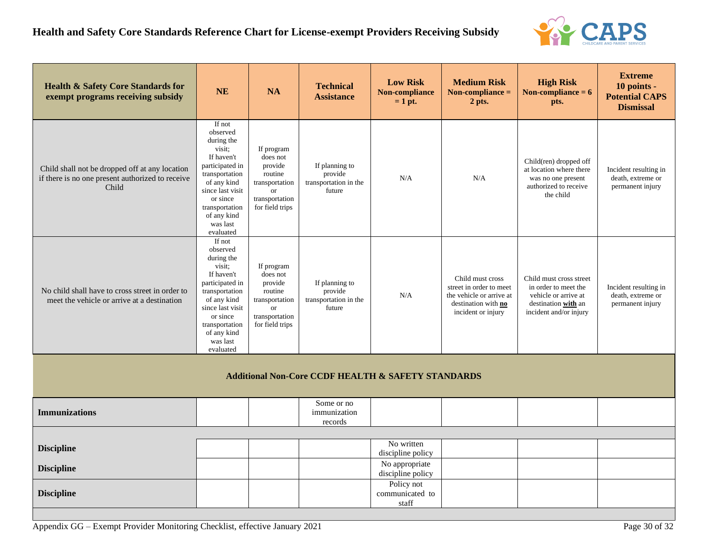### **Health and Safety Core Standards Reference Chart for License-exempt Providers Receiving Subsidy**



| <b>Health &amp; Safety Core Standards for</b><br>exempt programs receiving subsidy                          | <b>NE</b>                                                                                                                                                                                              | <b>NA</b>                                                                                                            | <b>Technical</b><br><b>Assistance</b>                         | <b>Low Risk</b><br>Non-compliance<br>$= 1$ pt. | <b>Medium Risk</b><br>Non-compliance $=$<br>2 pts.                                                                   | <b>High Risk</b><br>Non-compliance $= 6$<br>pts.                                                                         | <b>Extreme</b><br>10 points -<br><b>Potential CAPS</b><br><b>Dismissal</b> |
|-------------------------------------------------------------------------------------------------------------|--------------------------------------------------------------------------------------------------------------------------------------------------------------------------------------------------------|----------------------------------------------------------------------------------------------------------------------|---------------------------------------------------------------|------------------------------------------------|----------------------------------------------------------------------------------------------------------------------|--------------------------------------------------------------------------------------------------------------------------|----------------------------------------------------------------------------|
| Child shall not be dropped off at any location<br>if there is no one present authorized to receive<br>Child | If not<br>observed<br>during the<br>visit;<br>If haven't<br>participated in<br>transportation<br>of any kind<br>since last visit<br>or since<br>transportation<br>of any kind<br>was last<br>evaluated | If program<br>does not<br>provide<br>routine<br>transportation<br><b>or</b><br>transportation<br>for field trips     | If planning to<br>provide<br>transportation in the<br>future  | N/A                                            | N/A                                                                                                                  | Child(ren) dropped off<br>at location where there<br>was no one present<br>authorized to receive<br>the child            | Incident resulting in<br>death, extreme or<br>permanent injury             |
| No child shall have to cross street in order to<br>meet the vehicle or arrive at a destination              | If not<br>observed<br>during the<br>visit:<br>If haven't<br>participated in<br>transportation<br>of any kind<br>since last visit<br>or since<br>transportation<br>of any kind<br>was last<br>evaluated | If program<br>does not<br>provide<br>routine<br>transportation<br><sub>or</sub><br>transportation<br>for field trips | If planning to<br>provide<br>transportation in the<br>future  | N/A                                            | Child must cross<br>street in order to meet<br>the vehicle or arrive at<br>destination with no<br>incident or injury | Child must cross street<br>in order to meet the<br>vehicle or arrive at<br>destination with an<br>incident and/or injury | Incident resulting in<br>death, extreme or<br>permanent injury             |
|                                                                                                             |                                                                                                                                                                                                        |                                                                                                                      | <b>Additional Non-Core CCDF HEALTH &amp; SAFETY STANDARDS</b> |                                                |                                                                                                                      |                                                                                                                          |                                                                            |
| <b>Immunizations</b>                                                                                        |                                                                                                                                                                                                        |                                                                                                                      | Some or no<br>immunization<br>records                         |                                                |                                                                                                                      |                                                                                                                          |                                                                            |
|                                                                                                             |                                                                                                                                                                                                        |                                                                                                                      |                                                               | No written                                     |                                                                                                                      |                                                                                                                          |                                                                            |
| <b>Discipline</b>                                                                                           |                                                                                                                                                                                                        |                                                                                                                      |                                                               | discipline policy                              |                                                                                                                      |                                                                                                                          |                                                                            |
| <b>Discipline</b>                                                                                           |                                                                                                                                                                                                        |                                                                                                                      |                                                               | No appropriate<br>discipline policy            |                                                                                                                      |                                                                                                                          |                                                                            |
| <b>Discipline</b>                                                                                           |                                                                                                                                                                                                        |                                                                                                                      |                                                               | Policy not<br>communicated to<br>staff         |                                                                                                                      |                                                                                                                          |                                                                            |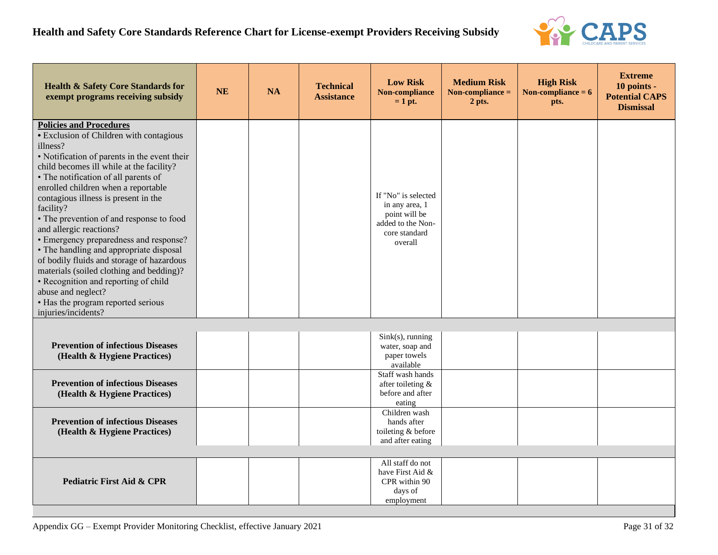

| <b>Health &amp; Safety Core Standards for</b><br>exempt programs receiving subsidy                                                                                                                                                                                                                                                                                                                                                                                                                                                                                                                                                                                                                    | <b>NE</b> | <b>NA</b> | <b>Technical</b><br><b>Assistance</b> | <b>Low Risk</b><br><b>Non-compliance</b><br>$= 1$ pt.                                                   | <b>Medium Risk</b><br>Non-compliance $=$<br>2 pts. | <b>High Risk</b><br>Non-compliance $= 6$<br>pts. | <b>Extreme</b><br>10 points -<br><b>Potential CAPS</b><br><b>Dismissal</b> |
|-------------------------------------------------------------------------------------------------------------------------------------------------------------------------------------------------------------------------------------------------------------------------------------------------------------------------------------------------------------------------------------------------------------------------------------------------------------------------------------------------------------------------------------------------------------------------------------------------------------------------------------------------------------------------------------------------------|-----------|-----------|---------------------------------------|---------------------------------------------------------------------------------------------------------|----------------------------------------------------|--------------------------------------------------|----------------------------------------------------------------------------|
| <b>Policies and Procedures</b><br>• Exclusion of Children with contagious<br>illness?<br>• Notification of parents in the event their<br>child becomes ill while at the facility?<br>• The notification of all parents of<br>enrolled children when a reportable<br>contagious illness is present in the<br>facility?<br>• The prevention of and response to food<br>and allergic reactions?<br>• Emergency preparedness and response?<br>• The handling and appropriate disposal<br>of bodily fluids and storage of hazardous<br>materials (soiled clothing and bedding)?<br>• Recognition and reporting of child<br>abuse and neglect?<br>• Has the program reported serious<br>injuries/incidents? |           |           |                                       | If "No" is selected<br>in any area, 1<br>point will be<br>added to the Non-<br>core standard<br>overall |                                                    |                                                  |                                                                            |
| <b>Prevention of infectious Diseases</b><br>(Health & Hygiene Practices)                                                                                                                                                                                                                                                                                                                                                                                                                                                                                                                                                                                                                              |           |           |                                       | $Sink(s)$ , running<br>water, soap and<br>paper towels<br>available                                     |                                                    |                                                  |                                                                            |
| <b>Prevention of infectious Diseases</b><br>(Health & Hygiene Practices)                                                                                                                                                                                                                                                                                                                                                                                                                                                                                                                                                                                                                              |           |           |                                       | Staff wash hands<br>after toileting &<br>before and after<br>eating                                     |                                                    |                                                  |                                                                            |
| <b>Prevention of infectious Diseases</b><br>(Health & Hygiene Practices)                                                                                                                                                                                                                                                                                                                                                                                                                                                                                                                                                                                                                              |           |           |                                       | Children wash<br>hands after<br>toileting & before<br>and after eating                                  |                                                    |                                                  |                                                                            |
| <b>Pediatric First Aid &amp; CPR</b>                                                                                                                                                                                                                                                                                                                                                                                                                                                                                                                                                                                                                                                                  |           |           |                                       | All staff do not<br>have First Aid &<br>CPR within 90<br>days of<br>employment                          |                                                    |                                                  |                                                                            |